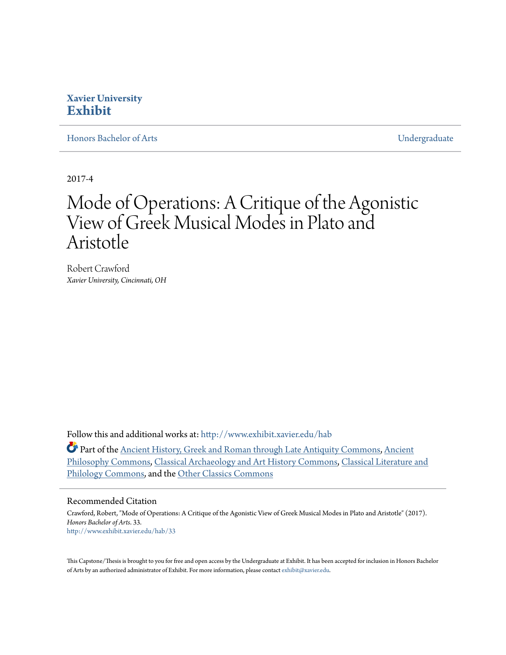#### **Xavier University [Exhibit](http://www.exhibit.xavier.edu?utm_source=www.exhibit.xavier.edu%2Fhab%2F33&utm_medium=PDF&utm_campaign=PDFCoverPages)**

[Honors Bachelor of Arts](http://www.exhibit.xavier.edu/hab?utm_source=www.exhibit.xavier.edu%2Fhab%2F33&utm_medium=PDF&utm_campaign=PDFCoverPages) **[Undergraduate](http://www.exhibit.xavier.edu/undergraduate?utm_source=www.exhibit.xavier.edu%2Fhab%2F33&utm_medium=PDF&utm_campaign=PDFCoverPages)** 

2017-4

## Mode of Operations: A Critique of the Agonistic View of Greek Musical Modes in Plato and Aristotle

Robert Crawford *Xavier University, Cincinnati, OH*

Follow this and additional works at: [http://www.exhibit.xavier.edu/hab](http://www.exhibit.xavier.edu/hab?utm_source=www.exhibit.xavier.edu%2Fhab%2F33&utm_medium=PDF&utm_campaign=PDFCoverPages)

Part of the [Ancient History, Greek and Roman through Late Antiquity Commons](http://network.bepress.com/hgg/discipline/447?utm_source=www.exhibit.xavier.edu%2Fhab%2F33&utm_medium=PDF&utm_campaign=PDFCoverPages), [Ancient](http://network.bepress.com/hgg/discipline/448?utm_source=www.exhibit.xavier.edu%2Fhab%2F33&utm_medium=PDF&utm_campaign=PDFCoverPages) [Philosophy Commons,](http://network.bepress.com/hgg/discipline/448?utm_source=www.exhibit.xavier.edu%2Fhab%2F33&utm_medium=PDF&utm_campaign=PDFCoverPages) [Classical Archaeology and Art History Commons](http://network.bepress.com/hgg/discipline/450?utm_source=www.exhibit.xavier.edu%2Fhab%2F33&utm_medium=PDF&utm_campaign=PDFCoverPages), [Classical Literature and](http://network.bepress.com/hgg/discipline/451?utm_source=www.exhibit.xavier.edu%2Fhab%2F33&utm_medium=PDF&utm_campaign=PDFCoverPages) [Philology Commons,](http://network.bepress.com/hgg/discipline/451?utm_source=www.exhibit.xavier.edu%2Fhab%2F33&utm_medium=PDF&utm_campaign=PDFCoverPages) and the [Other Classics Commons](http://network.bepress.com/hgg/discipline/453?utm_source=www.exhibit.xavier.edu%2Fhab%2F33&utm_medium=PDF&utm_campaign=PDFCoverPages)

#### Recommended Citation

Crawford, Robert, "Mode of Operations: A Critique of the Agonistic View of Greek Musical Modes in Plato and Aristotle" (2017). *Honors Bachelor of Arts*. 33. [http://www.exhibit.xavier.edu/hab/33](http://www.exhibit.xavier.edu/hab/33?utm_source=www.exhibit.xavier.edu%2Fhab%2F33&utm_medium=PDF&utm_campaign=PDFCoverPages)

This Capstone/Thesis is brought to you for free and open access by the Undergraduate at Exhibit. It has been accepted for inclusion in Honors Bachelor of Arts by an authorized administrator of Exhibit. For more information, please contact [exhibit@xavier.edu.](mailto:exhibit@xavier.edu)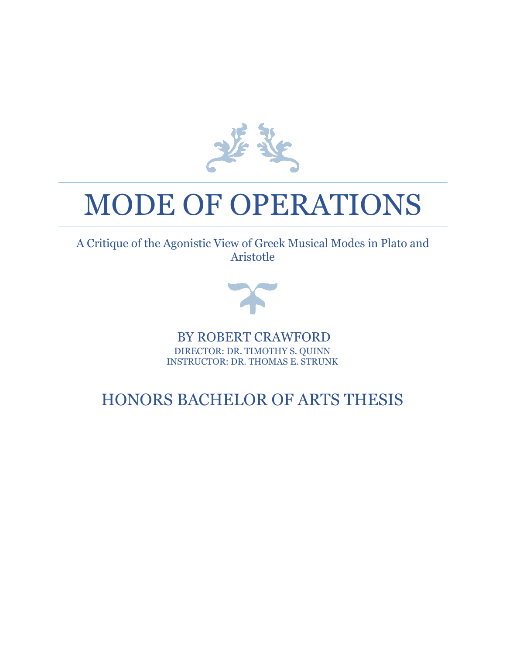

# MODE OF OPERATIONS

A Critique of the Agonistic View of Greek Musical Modes in Plato and Aristotle



BY ROBERT CRAWFORD DIRECTOR: DR. TIMOTHY S. QUINN INSTRUCTOR: DR. THOMAS E. STRUNK

## HONORS BACHELOR OF ARTS THESIS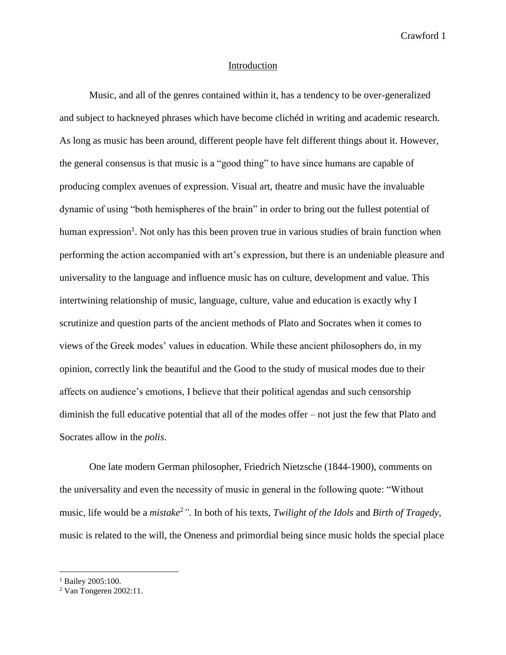#### Introduction

Music, and all of the genres contained within it, has a tendency to be over-generalized and subject to hackneyed phrases which have become clichéd in writing and academic research. As long as music has been around, different people have felt different things about it. However, the general consensus is that music is a "good thing" to have since humans are capable of producing complex avenues of expression. Visual art, theatre and music have the invaluable dynamic of using "both hemispheres of the brain" in order to bring out the fullest potential of human expression<sup>1</sup>. Not only has this been proven true in various studies of brain function when performing the action accompanied with art's expression, but there is an undeniable pleasure and universality to the language and influence music has on culture, development and value. This intertwining relationship of music, language, culture, value and education is exactly why I scrutinize and question parts of the ancient methods of Plato and Socrates when it comes to views of the Greek modes' values in education. While these ancient philosophers do, in my opinion, correctly link the beautiful and the Good to the study of musical modes due to their affects on audience's emotions, I believe that their political agendas and such censorship diminish the full educative potential that all of the modes offer – not just the few that Plato and Socrates allow in the *polis*.

One late modern German philosopher, Friedrich Nietzsche (1844-1900), comments on the universality and even the necessity of music in general in the following quote: "Without music, life would be a *mistake*<sup>2</sup>*"*. In both of his texts, *Twilight of the Idols* and *Birth of Tragedy*, music is related to the will, the Oneness and primordial being since music holds the special place

<sup>&</sup>lt;sup>1</sup> Bailey 2005:100.

<sup>2</sup> Van Tongeren 2002:11.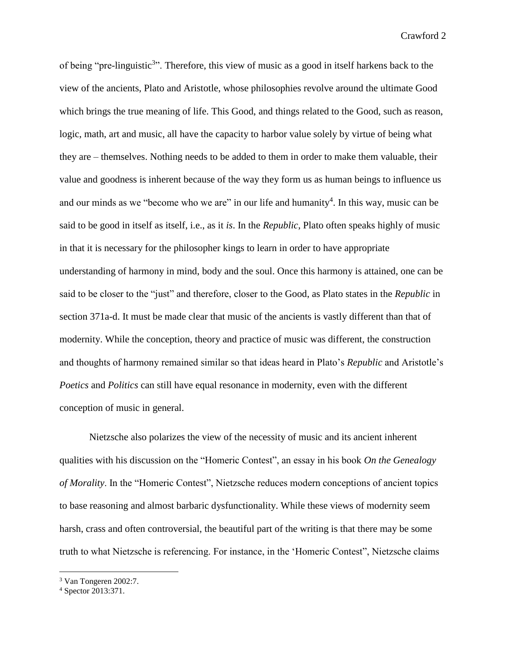of being "pre-linguistic<sup>3</sup>". Therefore, this view of music as a good in itself harkens back to the view of the ancients, Plato and Aristotle, whose philosophies revolve around the ultimate Good which brings the true meaning of life. This Good, and things related to the Good, such as reason, logic, math, art and music, all have the capacity to harbor value solely by virtue of being what they are – themselves. Nothing needs to be added to them in order to make them valuable, their value and goodness is inherent because of the way they form us as human beings to influence us and our minds as we "become who we are" in our life and humanity<sup>4</sup>. In this way, music can be said to be good in itself as itself, i.e., as it *is*. In the *Republic*, Plato often speaks highly of music in that it is necessary for the philosopher kings to learn in order to have appropriate understanding of harmony in mind, body and the soul. Once this harmony is attained, one can be said to be closer to the "just" and therefore, closer to the Good, as Plato states in the *Republic* in section 371a-d. It must be made clear that music of the ancients is vastly different than that of modernity. While the conception, theory and practice of music was different, the construction and thoughts of harmony remained similar so that ideas heard in Plato's *Republic* and Aristotle's *Poetics* and *Politics* can still have equal resonance in modernity, even with the different conception of music in general.

Nietzsche also polarizes the view of the necessity of music and its ancient inherent qualities with his discussion on the "Homeric Contest", an essay in his book *On the Genealogy of Morality*. In the "Homeric Contest", Nietzsche reduces modern conceptions of ancient topics to base reasoning and almost barbaric dysfunctionality. While these views of modernity seem harsh, crass and often controversial, the beautiful part of the writing is that there may be some truth to what Nietzsche is referencing. For instance, in the 'Homeric Contest", Nietzsche claims

<sup>3</sup> Van Tongeren 2002:7.

<sup>4</sup> Spector 2013:371.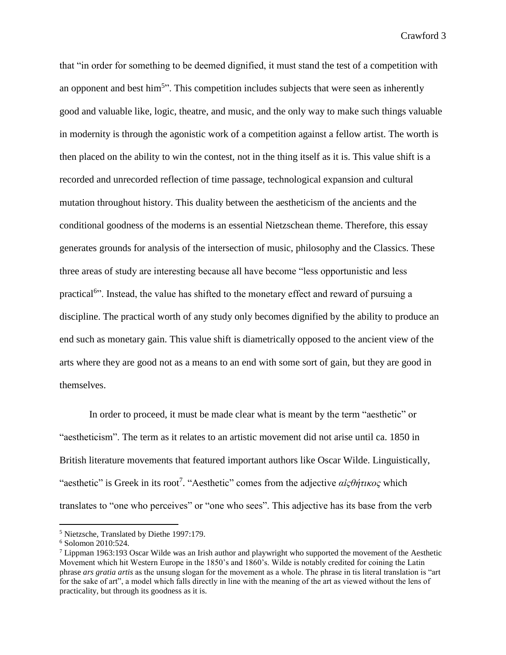that "in order for something to be deemed dignified, it must stand the test of a competition with an opponent and best him<sup>5</sup>". This competition includes subjects that were seen as inherently good and valuable like, logic, theatre, and music, and the only way to make such things valuable in modernity is through the agonistic work of a competition against a fellow artist. The worth is then placed on the ability to win the contest, not in the thing itself as it is. This value shift is a recorded and unrecorded reflection of time passage, technological expansion and cultural mutation throughout history. This duality between the aestheticism of the ancients and the conditional goodness of the moderns is an essential Nietzschean theme. Therefore, this essay generates grounds for analysis of the intersection of music, philosophy and the Classics. These three areas of study are interesting because all have become "less opportunistic and less practical<sup>6</sup>". Instead, the value has shifted to the monetary effect and reward of pursuing a discipline. The practical worth of any study only becomes dignified by the ability to produce an end such as monetary gain. This value shift is diametrically opposed to the ancient view of the arts where they are good not as a means to an end with some sort of gain, but they are good in themselves.

In order to proceed, it must be made clear what is meant by the term "aesthetic" or "aestheticism". The term as it relates to an artistic movement did not arise until ca. 1850 in British literature movements that featured important authors like Oscar Wilde. Linguistically, "aesthetic" is Greek in its root<sup>7</sup> . "Aesthetic" comes from the adjective *αἰςθήτικος* which translates to "one who perceives" or "one who sees". This adjective has its base from the verb

<sup>5</sup> Nietzsche, Translated by Diethe 1997:179.

<sup>6</sup> Solomon 2010:524.

<sup>7</sup> Lippman 1963:193 Oscar Wilde was an Irish author and playwright who supported the movement of the Aesthetic Movement which hit Western Europe in the 1850's and 1860's. Wilde is notably credited for coining the Latin phrase *ars gratia artis* as the unsung slogan for the movement as a whole. The phrase in tis literal translation is "art for the sake of art", a model which falls directly in line with the meaning of the art as viewed without the lens of practicality, but through its goodness as it is.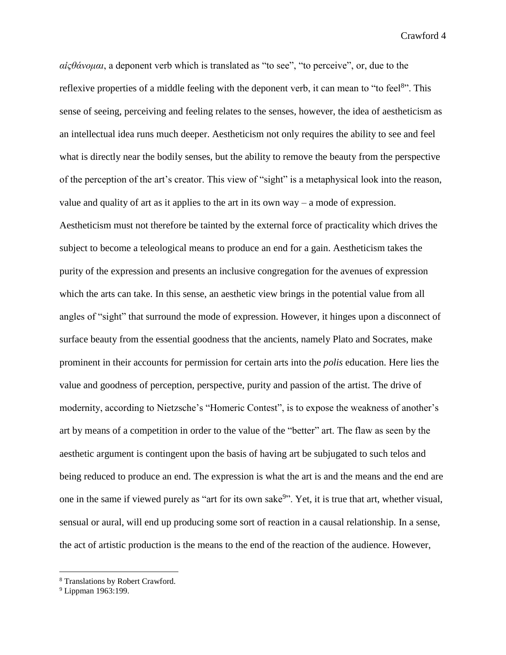*αἰςθάνομαι*, a deponent verb which is translated as "to see", "to perceive", or, due to the reflexive properties of a middle feeling with the deponent verb, it can mean to "to feel<sup>8</sup>". This sense of seeing, perceiving and feeling relates to the senses, however, the idea of aestheticism as an intellectual idea runs much deeper. Aestheticism not only requires the ability to see and feel what is directly near the bodily senses, but the ability to remove the beauty from the perspective of the perception of the art's creator. This view of "sight" is a metaphysical look into the reason, value and quality of art as it applies to the art in its own way – a mode of expression. Aestheticism must not therefore be tainted by the external force of practicality which drives the subject to become a teleological means to produce an end for a gain. Aestheticism takes the purity of the expression and presents an inclusive congregation for the avenues of expression which the arts can take. In this sense, an aesthetic view brings in the potential value from all angles of "sight" that surround the mode of expression. However, it hinges upon a disconnect of surface beauty from the essential goodness that the ancients, namely Plato and Socrates, make prominent in their accounts for permission for certain arts into the *polis* education. Here lies the value and goodness of perception, perspective, purity and passion of the artist. The drive of modernity, according to Nietzsche's "Homeric Contest", is to expose the weakness of another's art by means of a competition in order to the value of the "better" art. The flaw as seen by the aesthetic argument is contingent upon the basis of having art be subjugated to such telos and being reduced to produce an end. The expression is what the art is and the means and the end are one in the same if viewed purely as "art for its own sake<sup>9</sup>". Yet, it is true that art, whether visual, sensual or aural, will end up producing some sort of reaction in a causal relationship. In a sense, the act of artistic production is the means to the end of the reaction of the audience. However,

<sup>8</sup> Translations by Robert Crawford.

<sup>&</sup>lt;sup>9</sup> Lippman 1963:199.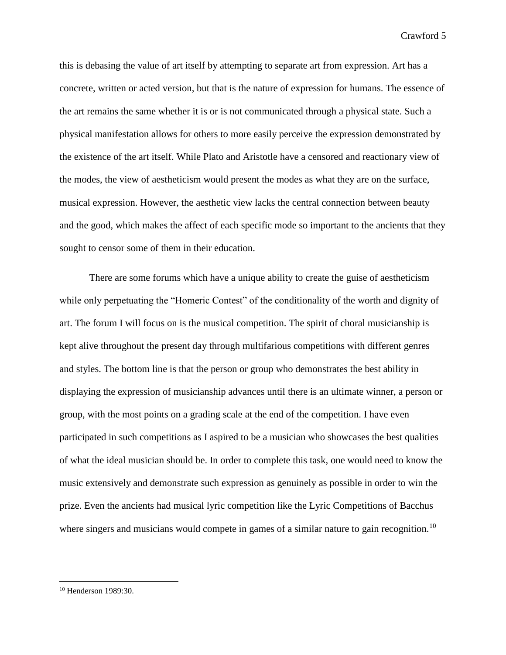this is debasing the value of art itself by attempting to separate art from expression. Art has a concrete, written or acted version, but that is the nature of expression for humans. The essence of the art remains the same whether it is or is not communicated through a physical state. Such a physical manifestation allows for others to more easily perceive the expression demonstrated by the existence of the art itself. While Plato and Aristotle have a censored and reactionary view of the modes, the view of aestheticism would present the modes as what they are on the surface, musical expression. However, the aesthetic view lacks the central connection between beauty and the good, which makes the affect of each specific mode so important to the ancients that they sought to censor some of them in their education.

There are some forums which have a unique ability to create the guise of aestheticism while only perpetuating the "Homeric Contest" of the conditionality of the worth and dignity of art. The forum I will focus on is the musical competition. The spirit of choral musicianship is kept alive throughout the present day through multifarious competitions with different genres and styles. The bottom line is that the person or group who demonstrates the best ability in displaying the expression of musicianship advances until there is an ultimate winner, a person or group, with the most points on a grading scale at the end of the competition. I have even participated in such competitions as I aspired to be a musician who showcases the best qualities of what the ideal musician should be. In order to complete this task, one would need to know the music extensively and demonstrate such expression as genuinely as possible in order to win the prize. Even the ancients had musical lyric competition like the Lyric Competitions of Bacchus where singers and musicians would compete in games of a similar nature to gain recognition.<sup>10</sup>

<sup>10</sup> Henderson 1989:30.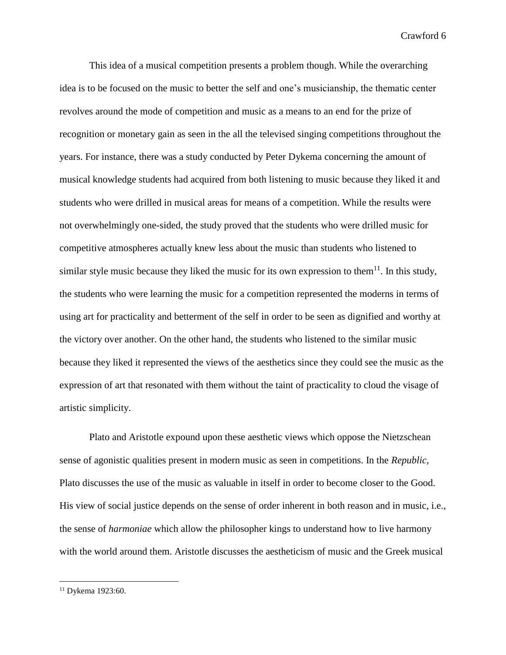This idea of a musical competition presents a problem though. While the overarching idea is to be focused on the music to better the self and one's musicianship, the thematic center revolves around the mode of competition and music as a means to an end for the prize of recognition or monetary gain as seen in the all the televised singing competitions throughout the years. For instance, there was a study conducted by Peter Dykema concerning the amount of musical knowledge students had acquired from both listening to music because they liked it and students who were drilled in musical areas for means of a competition. While the results were not overwhelmingly one-sided, the study proved that the students who were drilled music for competitive atmospheres actually knew less about the music than students who listened to similar style music because they liked the music for its own expression to them $11$ . In this study, the students who were learning the music for a competition represented the moderns in terms of using art for practicality and betterment of the self in order to be seen as dignified and worthy at the victory over another. On the other hand, the students who listened to the similar music because they liked it represented the views of the aesthetics since they could see the music as the expression of art that resonated with them without the taint of practicality to cloud the visage of artistic simplicity.

Plato and Aristotle expound upon these aesthetic views which oppose the Nietzschean sense of agonistic qualities present in modern music as seen in competitions. In the *Republic*, Plato discusses the use of the music as valuable in itself in order to become closer to the Good. His view of social justice depends on the sense of order inherent in both reason and in music, i.e., the sense of *harmoniae* which allow the philosopher kings to understand how to live harmony with the world around them. Aristotle discusses the aestheticism of music and the Greek musical

<sup>&</sup>lt;sup>11</sup> Dykema 1923:60.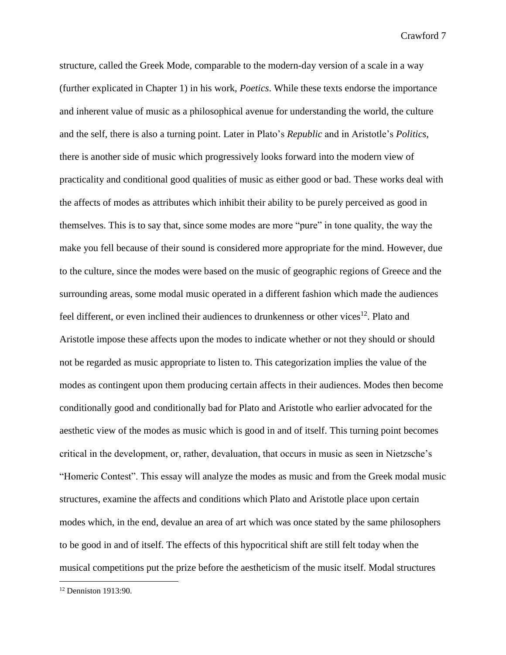structure, called the Greek Mode, comparable to the modern-day version of a scale in a way (further explicated in Chapter 1) in his work, *Poetics*. While these texts endorse the importance and inherent value of music as a philosophical avenue for understanding the world, the culture and the self, there is also a turning point. Later in Plato's *Republic* and in Aristotle's *Politics*, there is another side of music which progressively looks forward into the modern view of practicality and conditional good qualities of music as either good or bad. These works deal with the affects of modes as attributes which inhibit their ability to be purely perceived as good in themselves. This is to say that, since some modes are more "pure" in tone quality, the way the make you fell because of their sound is considered more appropriate for the mind. However, due to the culture, since the modes were based on the music of geographic regions of Greece and the surrounding areas, some modal music operated in a different fashion which made the audiences feel different, or even inclined their audiences to drunkenness or other vices<sup>12</sup>. Plato and Aristotle impose these affects upon the modes to indicate whether or not they should or should not be regarded as music appropriate to listen to. This categorization implies the value of the modes as contingent upon them producing certain affects in their audiences. Modes then become conditionally good and conditionally bad for Plato and Aristotle who earlier advocated for the aesthetic view of the modes as music which is good in and of itself. This turning point becomes critical in the development, or, rather, devaluation, that occurs in music as seen in Nietzsche's "Homeric Contest". This essay will analyze the modes as music and from the Greek modal music structures, examine the affects and conditions which Plato and Aristotle place upon certain modes which, in the end, devalue an area of art which was once stated by the same philosophers to be good in and of itself. The effects of this hypocritical shift are still felt today when the musical competitions put the prize before the aestheticism of the music itself. Modal structures

<sup>12</sup> Denniston 1913:90.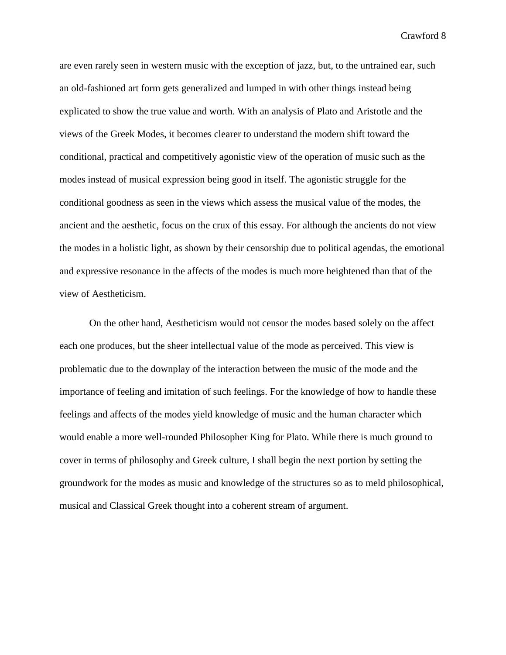are even rarely seen in western music with the exception of jazz, but, to the untrained ear, such an old-fashioned art form gets generalized and lumped in with other things instead being explicated to show the true value and worth. With an analysis of Plato and Aristotle and the views of the Greek Modes, it becomes clearer to understand the modern shift toward the conditional, practical and competitively agonistic view of the operation of music such as the modes instead of musical expression being good in itself. The agonistic struggle for the conditional goodness as seen in the views which assess the musical value of the modes, the ancient and the aesthetic, focus on the crux of this essay. For although the ancients do not view the modes in a holistic light, as shown by their censorship due to political agendas, the emotional and expressive resonance in the affects of the modes is much more heightened than that of the view of Aestheticism.

On the other hand, Aestheticism would not censor the modes based solely on the affect each one produces, but the sheer intellectual value of the mode as perceived. This view is problematic due to the downplay of the interaction between the music of the mode and the importance of feeling and imitation of such feelings. For the knowledge of how to handle these feelings and affects of the modes yield knowledge of music and the human character which would enable a more well-rounded Philosopher King for Plato. While there is much ground to cover in terms of philosophy and Greek culture, I shall begin the next portion by setting the groundwork for the modes as music and knowledge of the structures so as to meld philosophical, musical and Classical Greek thought into a coherent stream of argument.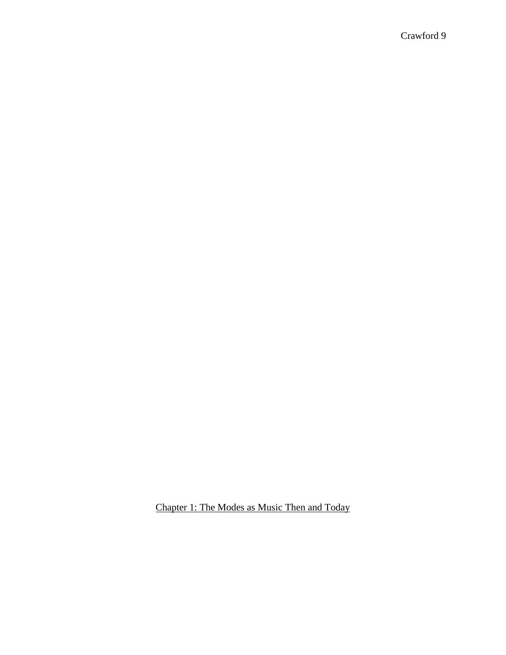Chapter 1: The Modes as Music Then and Today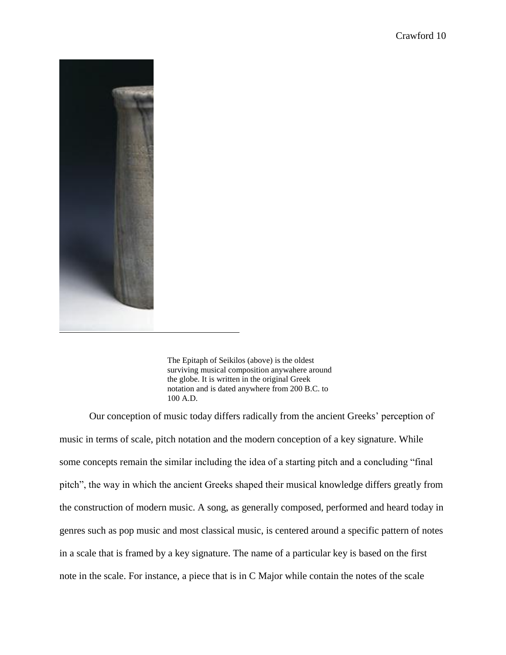

The Epitaph of Seikilos (above) is the oldest surviving musical composition anywahere around the globe. It is written in the original Greek notation and is dated anywhere from 200 B.C. to 100 A.D.

Our conception of music today differs radically from the ancient Greeks' perception of music in terms of scale, pitch notation and the modern conception of a key signature. While some concepts remain the similar including the idea of a starting pitch and a concluding "final pitch", the way in which the ancient Greeks shaped their musical knowledge differs greatly from the construction of modern music. A song, as generally composed, performed and heard today in genres such as pop music and most classical music, is centered around a specific pattern of notes in a scale that is framed by a key signature. The name of a particular key is based on the first note in the scale. For instance, a piece that is in C Major while contain the notes of the scale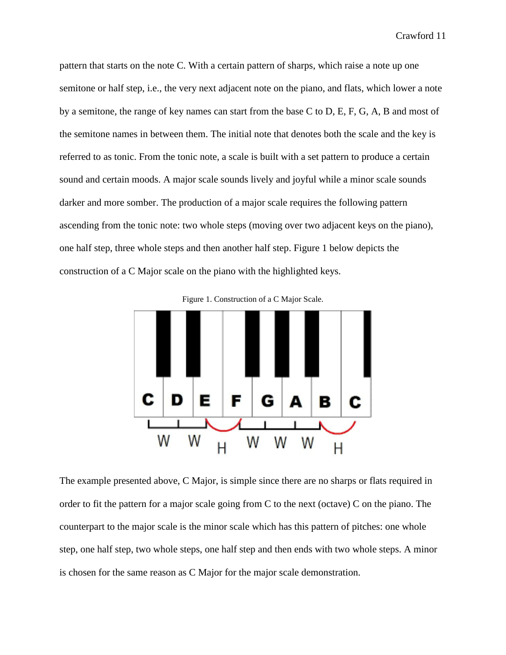pattern that starts on the note C. With a certain pattern of sharps, which raise a note up one semitone or half step, i.e., the very next adjacent note on the piano, and flats, which lower a note by a semitone, the range of key names can start from the base C to D, E, F, G, A, B and most of the semitone names in between them. The initial note that denotes both the scale and the key is referred to as tonic. From the tonic note, a scale is built with a set pattern to produce a certain sound and certain moods. A major scale sounds lively and joyful while a minor scale sounds darker and more somber. The production of a major scale requires the following pattern ascending from the tonic note: two whole steps (moving over two adjacent keys on the piano), one half step, three whole steps and then another half step. Figure 1 below depicts the construction of a C Major scale on the piano with the highlighted keys.





The example presented above, C Major, is simple since there are no sharps or flats required in order to fit the pattern for a major scale going from C to the next (octave) C on the piano. The counterpart to the major scale is the minor scale which has this pattern of pitches: one whole step, one half step, two whole steps, one half step and then ends with two whole steps. A minor is chosen for the same reason as C Major for the major scale demonstration.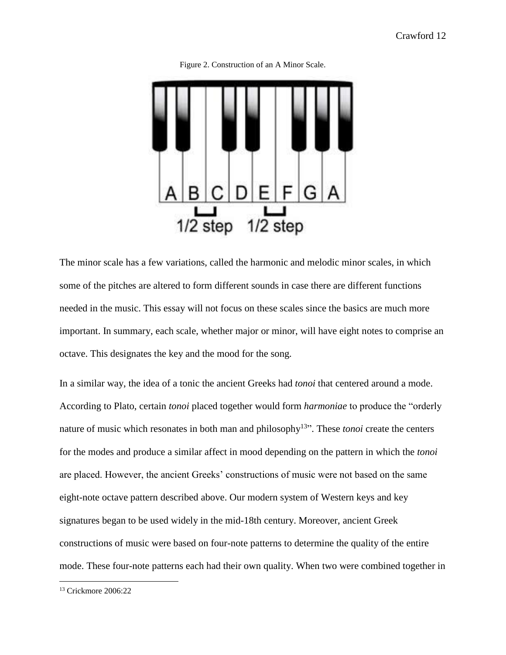

Figure 2. Construction of an A Minor Scale.

The minor scale has a few variations, called the harmonic and melodic minor scales, in which some of the pitches are altered to form different sounds in case there are different functions needed in the music. This essay will not focus on these scales since the basics are much more important. In summary, each scale, whether major or minor, will have eight notes to comprise an octave. This designates the key and the mood for the song.

In a similar way, the idea of a tonic the ancient Greeks had *tonoi* that centered around a mode. According to Plato, certain *tonoi* placed together would form *harmoniae* to produce the "orderly nature of music which resonates in both man and philosophy<sup>13</sup>". These *tonoi* create the centers for the modes and produce a similar affect in mood depending on the pattern in which the *tonoi* are placed. However, the ancient Greeks' constructions of music were not based on the same eight-note octave pattern described above. Our modern system of Western keys and key signatures began to be used widely in the mid-18th century. Moreover, ancient Greek constructions of music were based on four-note patterns to determine the quality of the entire mode. These four-note patterns each had their own quality. When two were combined together in

<sup>13</sup> Crickmore 2006:22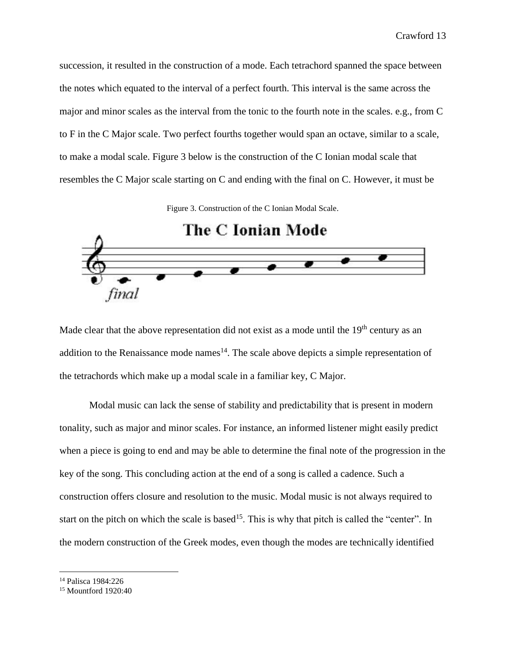succession, it resulted in the construction of a mode. Each tetrachord spanned the space between the notes which equated to the interval of a perfect fourth. This interval is the same across the major and minor scales as the interval from the tonic to the fourth note in the scales. e.g., from C to F in the C Major scale. Two perfect fourths together would span an octave, similar to a scale, to make a modal scale. Figure 3 below is the construction of the C Ionian modal scale that resembles the C Major scale starting on C and ending with the final on C. However, it must be

Figure 3. Construction of the C Ionian Modal Scale.



Made clear that the above representation did not exist as a mode until the  $19<sup>th</sup>$  century as an addition to the Renaissance mode names<sup>14</sup>. The scale above depicts a simple representation of the tetrachords which make up a modal scale in a familiar key, C Major.

Modal music can lack the sense of stability and predictability that is present in modern tonality, such as major and minor scales. For instance, an informed listener might easily predict when a piece is going to end and may be able to determine the final note of the progression in the key of the song. This concluding action at the end of a song is called a cadence. Such a construction offers closure and resolution to the music. Modal music is not always required to start on the pitch on which the scale is based<sup>15</sup>. This is why that pitch is called the "center". In the modern construction of the Greek modes, even though the modes are technically identified

<sup>14</sup> Palisca 1984:226

<sup>15</sup> Mountford 1920:40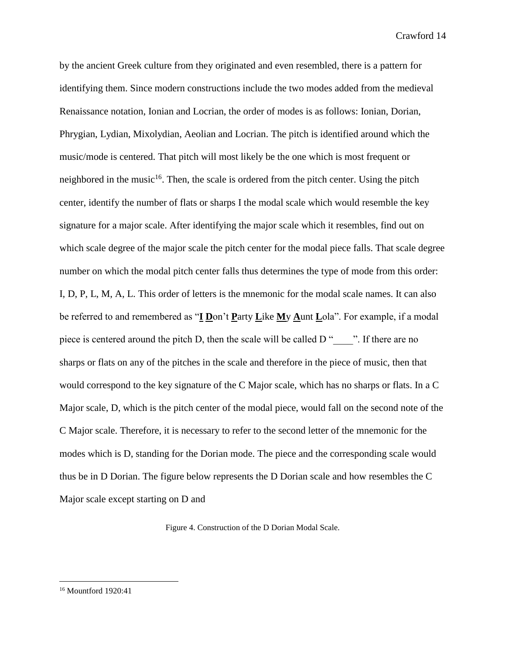by the ancient Greek culture from they originated and even resembled, there is a pattern for identifying them. Since modern constructions include the two modes added from the medieval Renaissance notation, Ionian and Locrian, the order of modes is as follows: Ionian, Dorian, Phrygian, Lydian, Mixolydian, Aeolian and Locrian. The pitch is identified around which the music/mode is centered. That pitch will most likely be the one which is most frequent or neighbored in the music $16$ . Then, the scale is ordered from the pitch center. Using the pitch center, identify the number of flats or sharps I the modal scale which would resemble the key signature for a major scale. After identifying the major scale which it resembles, find out on which scale degree of the major scale the pitch center for the modal piece falls. That scale degree number on which the modal pitch center falls thus determines the type of mode from this order: I, D, P, L, M, A, L. This order of letters is the mnemonic for the modal scale names. It can also be referred to and remembered as "**I D**on't **P**arty **L**ike **M**y **A**unt **L**ola". For example, if a modal piece is centered around the pitch D, then the scale will be called  $D''$ . If there are no sharps or flats on any of the pitches in the scale and therefore in the piece of music, then that would correspond to the key signature of the C Major scale, which has no sharps or flats. In a C Major scale, D, which is the pitch center of the modal piece, would fall on the second note of the C Major scale. Therefore, it is necessary to refer to the second letter of the mnemonic for the modes which is D, standing for the Dorian mode. The piece and the corresponding scale would thus be in D Dorian. The figure below represents the D Dorian scale and how resembles the C Major scale except starting on D and

Figure 4. Construction of the D Dorian Modal Scale.

<sup>16</sup> Mountford 1920:41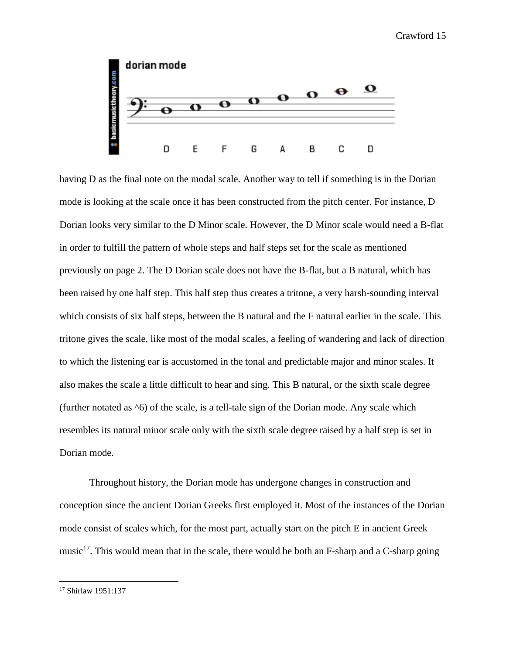

having D as the final note on the modal scale. Another way to tell if something is in the Dorian mode is looking at the scale once it has been constructed from the pitch center. For instance, D Dorian looks very similar to the D Minor scale. However, the D Minor scale would need a B-flat in order to fulfill the pattern of whole steps and half steps set for the scale as mentioned previously on page 2. The D Dorian scale does not have the B-flat, but a B natural, which has been raised by one half step. This half step thus creates a tritone, a very harsh-sounding interval which consists of six half steps, between the B natural and the F natural earlier in the scale. This tritone gives the scale, like most of the modal scales, a feeling of wandering and lack of direction to which the listening ear is accustomed in the tonal and predictable major and minor scales. It also makes the scale a little difficult to hear and sing. This B natural, or the sixth scale degree (further notated as ^6) of the scale, is a tell-tale sign of the Dorian mode. Any scale which resembles its natural minor scale only with the sixth scale degree raised by a half step is set in Dorian mode.

Throughout history, the Dorian mode has undergone changes in construction and conception since the ancient Dorian Greeks first employed it. Most of the instances of the Dorian mode consist of scales which, for the most part, actually start on the pitch E in ancient Greek music<sup>17</sup>. This would mean that in the scale, there would be both an F-sharp and a C-sharp going

<sup>17</sup> Shirlaw 1951:137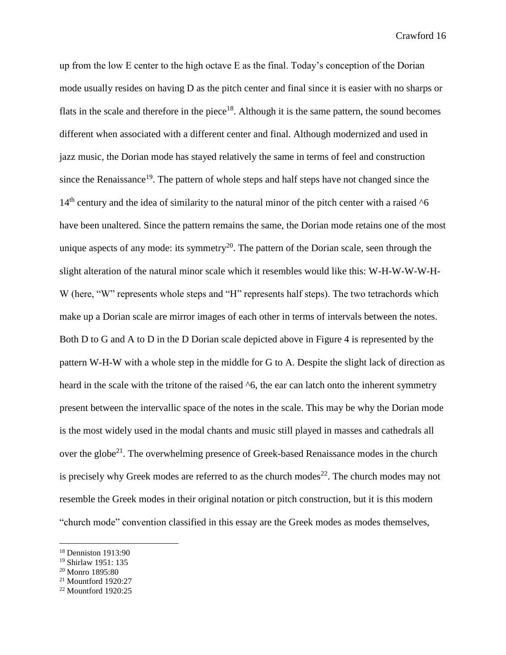up from the low E center to the high octave E as the final. Today's conception of the Dorian mode usually resides on having D as the pitch center and final since it is easier with no sharps or flats in the scale and therefore in the piece<sup>18</sup>. Although it is the same pattern, the sound becomes different when associated with a different center and final. Although modernized and used in jazz music, the Dorian mode has stayed relatively the same in terms of feel and construction since the Renaissance<sup>19</sup>. The pattern of whole steps and half steps have not changed since the  $14<sup>th</sup>$  century and the idea of similarity to the natural minor of the pitch center with a raised  $^{6}$ have been unaltered. Since the pattern remains the same, the Dorian mode retains one of the most unique aspects of any mode: its symmetry<sup>20</sup>. The pattern of the Dorian scale, seen through the slight alteration of the natural minor scale which it resembles would like this: W-H-W-W-W-H-W (here, "W" represents whole steps and "H" represents half steps). The two tetrachords which make up a Dorian scale are mirror images of each other in terms of intervals between the notes. Both D to G and A to D in the D Dorian scale depicted above in Figure 4 is represented by the pattern W-H-W with a whole step in the middle for G to A. Despite the slight lack of direction as heard in the scale with the tritone of the raised  $\delta$ , the ear can latch onto the inherent symmetry present between the intervallic space of the notes in the scale. This may be why the Dorian mode is the most widely used in the modal chants and music still played in masses and cathedrals all over the globe<sup>21</sup>. The overwhelming presence of Greek-based Renaissance modes in the church is precisely why Greek modes are referred to as the church modes<sup>22</sup>. The church modes may not resemble the Greek modes in their original notation or pitch construction, but it is this modern "church mode" convention classified in this essay are the Greek modes as modes themselves,

<sup>18</sup> Denniston 1913:90

<sup>19</sup> Shirlaw 1951: 135

<sup>20</sup> Monro 1895:80

<sup>21</sup> Mountford 1920:27

<sup>22</sup> Mountford 1920:25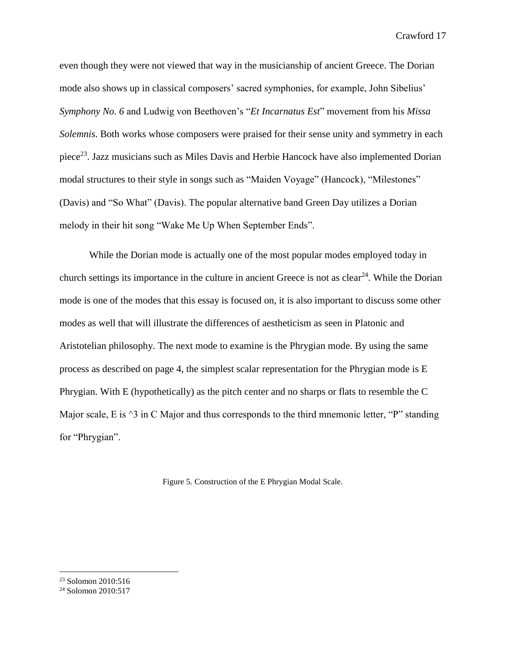even though they were not viewed that way in the musicianship of ancient Greece. The Dorian mode also shows up in classical composers' sacred symphonies, for example, John Sibelius' *Symphony No. 6* and Ludwig von Beethoven's "*Et Incarnatus Est*" movement from his *Missa Solemnis*. Both works whose composers were praised for their sense unity and symmetry in each piece<sup>23</sup>. Jazz musicians such as Miles Davis and Herbie Hancock have also implemented Dorian modal structures to their style in songs such as "Maiden Voyage" (Hancock), "Milestones" (Davis) and "So What" (Davis). The popular alternative band Green Day utilizes a Dorian melody in their hit song "Wake Me Up When September Ends".

While the Dorian mode is actually one of the most popular modes employed today in church settings its importance in the culture in ancient Greece is not as  $clear^{24}$ . While the Dorian mode is one of the modes that this essay is focused on, it is also important to discuss some other modes as well that will illustrate the differences of aestheticism as seen in Platonic and Aristotelian philosophy. The next mode to examine is the Phrygian mode. By using the same process as described on page 4, the simplest scalar representation for the Phrygian mode is E Phrygian. With E (hypothetically) as the pitch center and no sharps or flats to resemble the C Major scale, E is  $\triangle 3$  in C Major and thus corresponds to the third mnemonic letter, "P" standing for "Phrygian".

Figure 5. Construction of the E Phrygian Modal Scale.

<sup>&</sup>lt;sup>23</sup> Solomon 2010:516

<sup>24</sup> Solomon 2010:517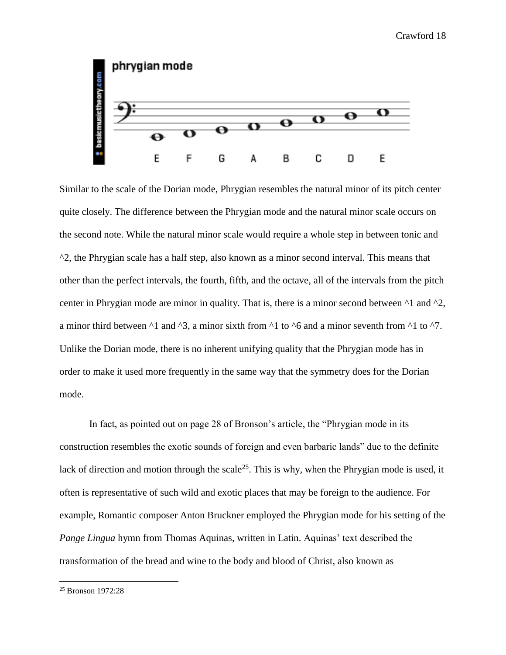

Similar to the scale of the Dorian mode, Phrygian resembles the natural minor of its pitch center quite closely. The difference between the Phrygian mode and the natural minor scale occurs on the second note. While the natural minor scale would require a whole step in between tonic and  $\gamma$ 2, the Phrygian scale has a half step, also known as a minor second interval. This means that other than the perfect intervals, the fourth, fifth, and the octave, all of the intervals from the pitch center in Phrygian mode are minor in quality. That is, there is a minor second between  $\alpha$ 1 and  $\alpha$ , a minor third between  $\lambda$ 1 and  $\lambda$ 3, a minor sixth from  $\lambda$ 1 to  $\lambda$ 6 and a minor seventh from  $\lambda$ 1 to  $\lambda$ 7. Unlike the Dorian mode, there is no inherent unifying quality that the Phrygian mode has in order to make it used more frequently in the same way that the symmetry does for the Dorian mode.

In fact, as pointed out on page 28 of Bronson's article, the "Phrygian mode in its construction resembles the exotic sounds of foreign and even barbaric lands" due to the definite lack of direction and motion through the scale<sup>25</sup>. This is why, when the Phrygian mode is used, it often is representative of such wild and exotic places that may be foreign to the audience. For example, Romantic composer Anton Bruckner employed the Phrygian mode for his setting of the *Pange Lingua* hymn from Thomas Aquinas, written in Latin. Aquinas' text described the transformation of the bread and wine to the body and blood of Christ, also known as

<sup>25</sup> Bronson 1972:28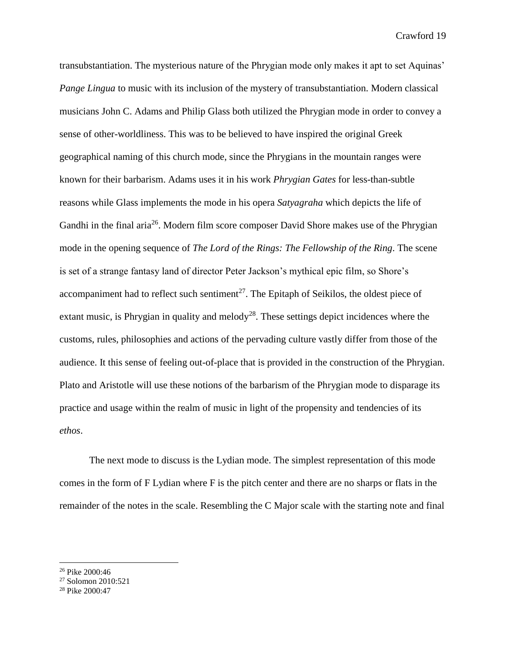transubstantiation. The mysterious nature of the Phrygian mode only makes it apt to set Aquinas' *Pange Lingua* to music with its inclusion of the mystery of transubstantiation. Modern classical musicians John C. Adams and Philip Glass both utilized the Phrygian mode in order to convey a sense of other-worldliness. This was to be believed to have inspired the original Greek geographical naming of this church mode, since the Phrygians in the mountain ranges were known for their barbarism. Adams uses it in his work *Phrygian Gates* for less-than-subtle reasons while Glass implements the mode in his opera *Satyagraha* which depicts the life of Gandhi in the final aria<sup>26</sup>. Modern film score composer David Shore makes use of the Phrygian mode in the opening sequence of *The Lord of the Rings: The Fellowship of the Ring*. The scene is set of a strange fantasy land of director Peter Jackson's mythical epic film, so Shore's accompaniment had to reflect such sentiment<sup>27</sup>. The Epitaph of Seikilos, the oldest piece of extant music, is Phrygian in quality and melody<sup>28</sup>. These settings depict incidences where the customs, rules, philosophies and actions of the pervading culture vastly differ from those of the audience. It this sense of feeling out-of-place that is provided in the construction of the Phrygian. Plato and Aristotle will use these notions of the barbarism of the Phrygian mode to disparage its practice and usage within the realm of music in light of the propensity and tendencies of its *ethos*.

The next mode to discuss is the Lydian mode. The simplest representation of this mode comes in the form of F Lydian where F is the pitch center and there are no sharps or flats in the remainder of the notes in the scale. Resembling the C Major scale with the starting note and final

<sup>26</sup> Pike 2000:46

<sup>27</sup> Solomon 2010:521

<sup>28</sup> Pike 2000:47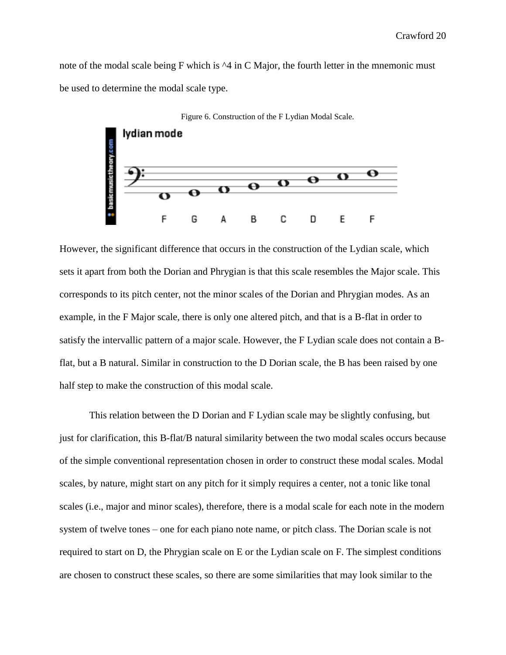note of the modal scale being F which is  $\triangle 4$  in C Major, the fourth letter in the mnemonic must be used to determine the modal scale type.



However, the significant difference that occurs in the construction of the Lydian scale, which sets it apart from both the Dorian and Phrygian is that this scale resembles the Major scale. This corresponds to its pitch center, not the minor scales of the Dorian and Phrygian modes. As an example, in the F Major scale, there is only one altered pitch, and that is a B-flat in order to satisfy the intervallic pattern of a major scale. However, the F Lydian scale does not contain a Bflat, but a B natural. Similar in construction to the D Dorian scale, the B has been raised by one half step to make the construction of this modal scale.

This relation between the D Dorian and F Lydian scale may be slightly confusing, but just for clarification, this B-flat/B natural similarity between the two modal scales occurs because of the simple conventional representation chosen in order to construct these modal scales. Modal scales, by nature, might start on any pitch for it simply requires a center, not a tonic like tonal scales (i.e., major and minor scales), therefore, there is a modal scale for each note in the modern system of twelve tones – one for each piano note name, or pitch class. The Dorian scale is not required to start on D, the Phrygian scale on E or the Lydian scale on F. The simplest conditions are chosen to construct these scales, so there are some similarities that may look similar to the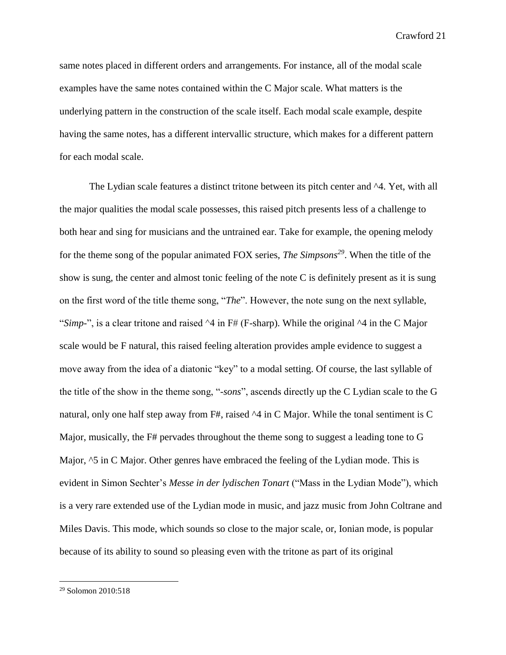same notes placed in different orders and arrangements. For instance, all of the modal scale examples have the same notes contained within the C Major scale. What matters is the underlying pattern in the construction of the scale itself. Each modal scale example, despite having the same notes, has a different intervallic structure, which makes for a different pattern for each modal scale.

The Lydian scale features a distinct tritone between its pitch center and  $\Delta 4$ . Yet, with all the major qualities the modal scale possesses, this raised pitch presents less of a challenge to both hear and sing for musicians and the untrained ear. Take for example, the opening melody for the theme song of the popular animated FOX series, *The Simpsons<sup>29</sup>*. When the title of the show is sung, the center and almost tonic feeling of the note C is definitely present as it is sung on the first word of the title theme song, "*The*". However, the note sung on the next syllable, "*Simp-*", is a clear tritone and raised ^4 in F# (F-sharp). While the original ^4 in the C Major scale would be F natural, this raised feeling alteration provides ample evidence to suggest a move away from the idea of a diatonic "key" to a modal setting. Of course, the last syllable of the title of the show in the theme song, "-*sons*", ascends directly up the C Lydian scale to the G natural, only one half step away from F#, raised  $\sim$ 4 in C Major. While the tonal sentiment is C Major, musically, the F# pervades throughout the theme song to suggest a leading tone to G Major,  $\textdegree$ 5 in C Major. Other genres have embraced the feeling of the Lydian mode. This is evident in Simon Sechter's *Messe in der lydischen Tonart* ("Mass in the Lydian Mode"), which is a very rare extended use of the Lydian mode in music, and jazz music from John Coltrane and Miles Davis. This mode, which sounds so close to the major scale, or, Ionian mode, is popular because of its ability to sound so pleasing even with the tritone as part of its original

<sup>29</sup> Solomon 2010:518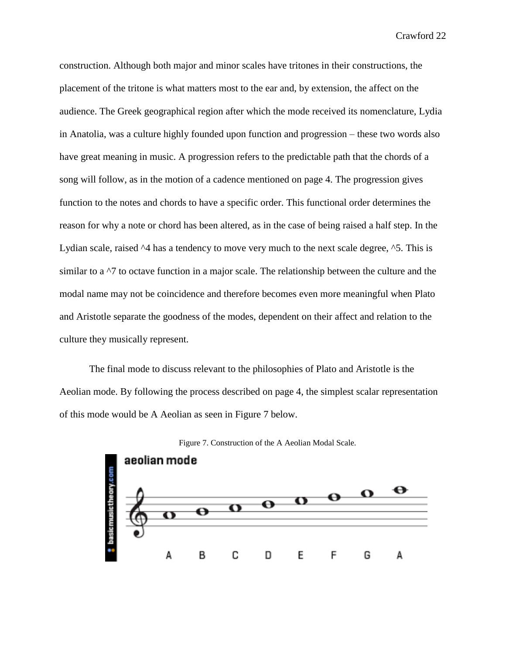construction. Although both major and minor scales have tritones in their constructions, the placement of the tritone is what matters most to the ear and, by extension, the affect on the audience. The Greek geographical region after which the mode received its nomenclature, Lydia in Anatolia, was a culture highly founded upon function and progression – these two words also have great meaning in music. A progression refers to the predictable path that the chords of a song will follow, as in the motion of a cadence mentioned on page 4. The progression gives function to the notes and chords to have a specific order. This functional order determines the reason for why a note or chord has been altered, as in the case of being raised a half step. In the Lydian scale, raised  $\Delta$ 4 has a tendency to move very much to the next scale degree,  $\Delta$ 5. This is similar to a  $\gamma$  to octave function in a major scale. The relationship between the culture and the modal name may not be coincidence and therefore becomes even more meaningful when Plato and Aristotle separate the goodness of the modes, dependent on their affect and relation to the culture they musically represent.

The final mode to discuss relevant to the philosophies of Plato and Aristotle is the Aeolian mode. By following the process described on page 4, the simplest scalar representation of this mode would be A Aeolian as seen in Figure 7 below.



Figure 7. Construction of the A Aeolian Modal Scale.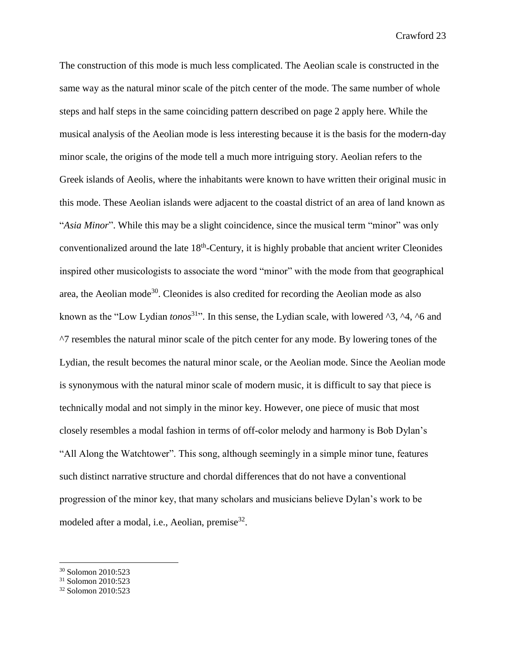The construction of this mode is much less complicated. The Aeolian scale is constructed in the same way as the natural minor scale of the pitch center of the mode. The same number of whole steps and half steps in the same coinciding pattern described on page 2 apply here. While the musical analysis of the Aeolian mode is less interesting because it is the basis for the modern-day minor scale, the origins of the mode tell a much more intriguing story. Aeolian refers to the Greek islands of Aeolis, where the inhabitants were known to have written their original music in this mode. These Aeolian islands were adjacent to the coastal district of an area of land known as "*Asia Minor*". While this may be a slight coincidence, since the musical term "minor" was only conventionalized around the late  $18<sup>th</sup>$ -Century, it is highly probable that ancient writer Cleonides inspired other musicologists to associate the word "minor" with the mode from that geographical area, the Aeolian mode<sup>30</sup>. Cleonides is also credited for recording the Aeolian mode as also known as the "Low Lydian *tonos*<sup>31</sup>". In this sense, the Lydian scale, with lowered ^3, ^4, ^6 and ^7 resembles the natural minor scale of the pitch center for any mode. By lowering tones of the Lydian, the result becomes the natural minor scale, or the Aeolian mode. Since the Aeolian mode is synonymous with the natural minor scale of modern music, it is difficult to say that piece is technically modal and not simply in the minor key. However, one piece of music that most closely resembles a modal fashion in terms of off-color melody and harmony is Bob Dylan's "All Along the Watchtower". This song, although seemingly in a simple minor tune, features such distinct narrative structure and chordal differences that do not have a conventional progression of the minor key, that many scholars and musicians believe Dylan's work to be modeled after a modal, i.e., Aeolian, premise<sup>32</sup>.

<sup>30</sup> Solomon 2010:523

<sup>31</sup> Solomon 2010:523

<sup>32</sup> Solomon 2010:523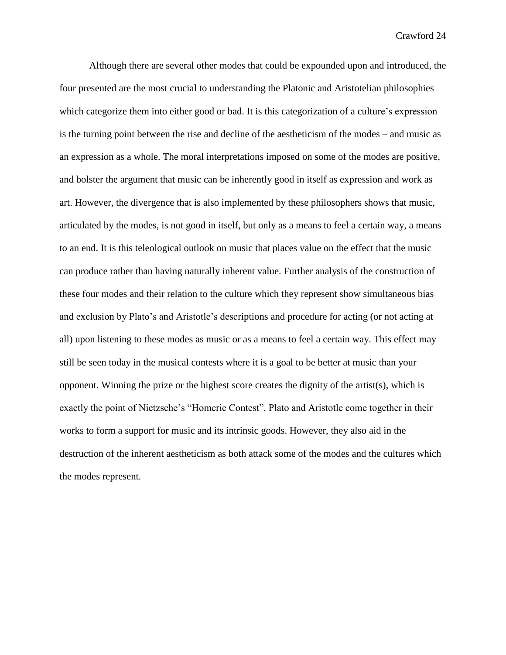Although there are several other modes that could be expounded upon and introduced, the four presented are the most crucial to understanding the Platonic and Aristotelian philosophies which categorize them into either good or bad. It is this categorization of a culture's expression is the turning point between the rise and decline of the aestheticism of the modes – and music as an expression as a whole. The moral interpretations imposed on some of the modes are positive, and bolster the argument that music can be inherently good in itself as expression and work as art. However, the divergence that is also implemented by these philosophers shows that music, articulated by the modes, is not good in itself, but only as a means to feel a certain way, a means to an end. It is this teleological outlook on music that places value on the effect that the music can produce rather than having naturally inherent value. Further analysis of the construction of these four modes and their relation to the culture which they represent show simultaneous bias and exclusion by Plato's and Aristotle's descriptions and procedure for acting (or not acting at all) upon listening to these modes as music or as a means to feel a certain way. This effect may still be seen today in the musical contests where it is a goal to be better at music than your opponent. Winning the prize or the highest score creates the dignity of the artist(s), which is exactly the point of Nietzsche's "Homeric Contest". Plato and Aristotle come together in their works to form a support for music and its intrinsic goods. However, they also aid in the destruction of the inherent aestheticism as both attack some of the modes and the cultures which the modes represent.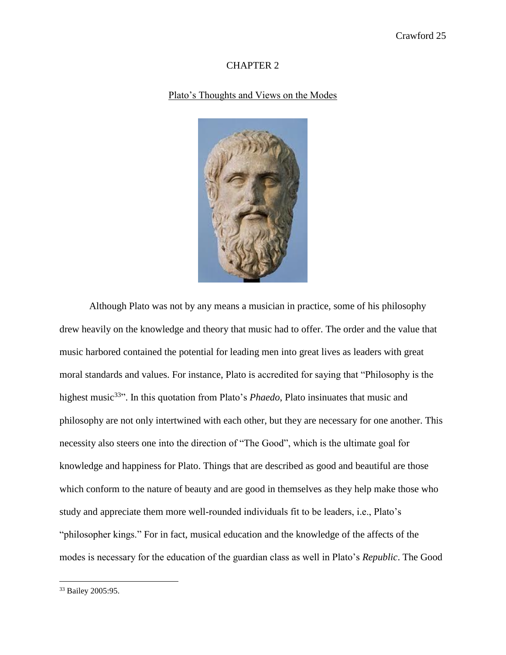#### CHAPTER 2

#### Plato's Thoughts and Views on the Modes



Although Plato was not by any means a musician in practice, some of his philosophy drew heavily on the knowledge and theory that music had to offer. The order and the value that music harbored contained the potential for leading men into great lives as leaders with great moral standards and values. For instance, Plato is accredited for saying that "Philosophy is the highest music<sup>33</sup>". In this quotation from Plato's *Phaedo*, Plato insinuates that music and philosophy are not only intertwined with each other, but they are necessary for one another. This necessity also steers one into the direction of "The Good", which is the ultimate goal for knowledge and happiness for Plato. Things that are described as good and beautiful are those which conform to the nature of beauty and are good in themselves as they help make those who study and appreciate them more well-rounded individuals fit to be leaders, i.e., Plato's "philosopher kings." For in fact, musical education and the knowledge of the affects of the modes is necessary for the education of the guardian class as well in Plato's *Republic*. The Good

<sup>33</sup> Bailey 2005:95.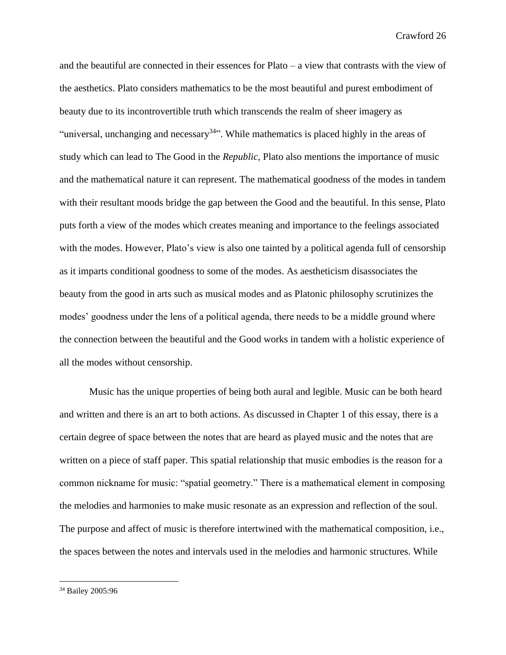and the beautiful are connected in their essences for Plato – a view that contrasts with the view of the aesthetics. Plato considers mathematics to be the most beautiful and purest embodiment of beauty due to its incontrovertible truth which transcends the realm of sheer imagery as "universal, unchanging and necessary<sup>34</sup>". While mathematics is placed highly in the areas of study which can lead to The Good in the *Republic*, Plato also mentions the importance of music and the mathematical nature it can represent. The mathematical goodness of the modes in tandem with their resultant moods bridge the gap between the Good and the beautiful. In this sense, Plato puts forth a view of the modes which creates meaning and importance to the feelings associated with the modes. However, Plato's view is also one tainted by a political agenda full of censorship as it imparts conditional goodness to some of the modes. As aestheticism disassociates the beauty from the good in arts such as musical modes and as Platonic philosophy scrutinizes the modes' goodness under the lens of a political agenda, there needs to be a middle ground where the connection between the beautiful and the Good works in tandem with a holistic experience of all the modes without censorship.

Music has the unique properties of being both aural and legible. Music can be both heard and written and there is an art to both actions. As discussed in Chapter 1 of this essay, there is a certain degree of space between the notes that are heard as played music and the notes that are written on a piece of staff paper. This spatial relationship that music embodies is the reason for a common nickname for music: "spatial geometry." There is a mathematical element in composing the melodies and harmonies to make music resonate as an expression and reflection of the soul. The purpose and affect of music is therefore intertwined with the mathematical composition, i.e., the spaces between the notes and intervals used in the melodies and harmonic structures. While

<sup>34</sup> Bailey 2005:96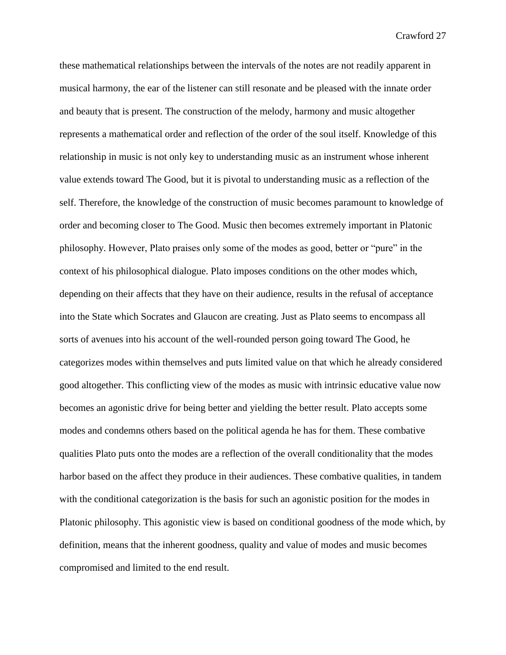these mathematical relationships between the intervals of the notes are not readily apparent in musical harmony, the ear of the listener can still resonate and be pleased with the innate order and beauty that is present. The construction of the melody, harmony and music altogether represents a mathematical order and reflection of the order of the soul itself. Knowledge of this relationship in music is not only key to understanding music as an instrument whose inherent value extends toward The Good, but it is pivotal to understanding music as a reflection of the self. Therefore, the knowledge of the construction of music becomes paramount to knowledge of order and becoming closer to The Good. Music then becomes extremely important in Platonic philosophy. However, Plato praises only some of the modes as good, better or "pure" in the context of his philosophical dialogue. Plato imposes conditions on the other modes which, depending on their affects that they have on their audience, results in the refusal of acceptance into the State which Socrates and Glaucon are creating. Just as Plato seems to encompass all sorts of avenues into his account of the well-rounded person going toward The Good, he categorizes modes within themselves and puts limited value on that which he already considered good altogether. This conflicting view of the modes as music with intrinsic educative value now becomes an agonistic drive for being better and yielding the better result. Plato accepts some modes and condemns others based on the political agenda he has for them. These combative qualities Plato puts onto the modes are a reflection of the overall conditionality that the modes harbor based on the affect they produce in their audiences. These combative qualities, in tandem with the conditional categorization is the basis for such an agonistic position for the modes in Platonic philosophy. This agonistic view is based on conditional goodness of the mode which, by definition, means that the inherent goodness, quality and value of modes and music becomes compromised and limited to the end result.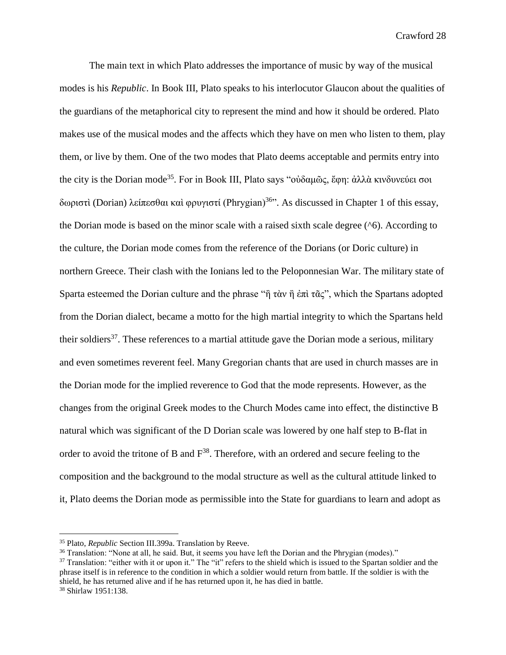The main text in which Plato addresses the importance of music by way of the musical modes is his *Republic*. In Book III, Plato speaks to his interlocutor Glaucon about the qualities of the guardians of the metaphorical city to represent the mind and how it should be ordered. Plato makes use of the musical modes and the affects which they have on men who listen to them, play them, or live by them. One of the two modes that Plato deems acceptable and permits entry into the city is the Dorian mode<sup>35</sup>. For in Book III, Plato says "οὐδαμῶς, ἔφη: ἀλλὰ κινδυνεύει σοι δωριστὶ (Dorian) λείπεσθαι καὶ φρυγιστί (Phrygian)<sup>36</sup>". As discussed in Chapter 1 of this essay, the Dorian mode is based on the minor scale with a raised sixth scale degree  $(^{6})$ . According to the culture, the Dorian mode comes from the reference of the Dorians (or Doric culture) in northern Greece. Their clash with the Ionians led to the Peloponnesian War. The military state of Sparta esteemed the Dorian culture and the phrase "ή τὰν ἠ ἐπὶ τᾶς", which the Spartans adopted from the Dorian dialect, became a motto for the high martial integrity to which the Spartans held their soldiers<sup>37</sup>. These references to a martial attitude gave the Dorian mode a serious, military and even sometimes reverent feel. Many Gregorian chants that are used in church masses are in the Dorian mode for the implied reverence to God that the mode represents. However, as the changes from the original Greek modes to the Church Modes came into effect, the distinctive B natural which was significant of the D Dorian scale was lowered by one half step to B-flat in order to avoid the tritone of B and  $F^{38}$ . Therefore, with an ordered and secure feeling to the composition and the background to the modal structure as well as the cultural attitude linked to it, Plato deems the Dorian mode as permissible into the State for guardians to learn and adopt as

<sup>35</sup> Plato, *Republic* Section III.399a. Translation by Reeve.

<sup>36</sup> Translation: "None at all, he said. But, it seems you have left the Dorian and the Phrygian (modes)."

<sup>&</sup>lt;sup>37</sup> Translation: "either with it or upon it." The "it" refers to the shield which is issued to the Spartan soldier and the phrase itself is in reference to the condition in which a soldier would return from battle. If the soldier is with the shield, he has returned alive and if he has returned upon it, he has died in battle.

<sup>38</sup> Shirlaw 1951:138.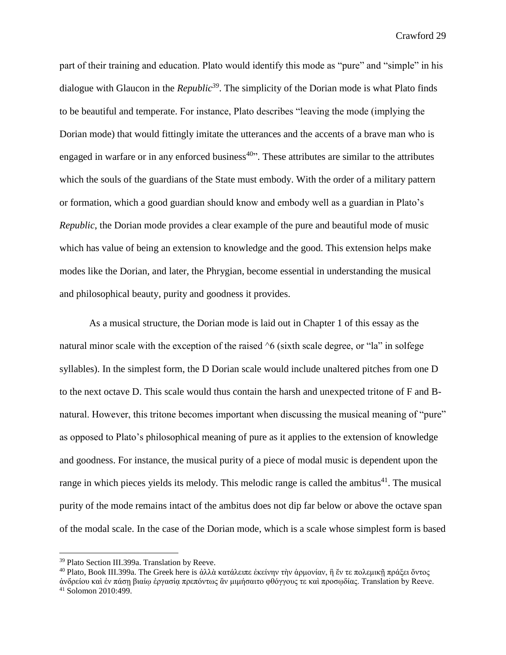part of their training and education. Plato would identify this mode as "pure" and "simple" in his dialogue with Glaucon in the *Republic<sup>39</sup>*. The simplicity of the Dorian mode is what Plato finds to be beautiful and temperate. For instance, Plato describes "leaving the mode (implying the Dorian mode) that would fittingly imitate the utterances and the accents of a brave man who is engaged in warfare or in any enforced business<sup> $40$ </sup>. These attributes are similar to the attributes which the souls of the guardians of the State must embody. With the order of a military pattern or formation, which a good guardian should know and embody well as a guardian in Plato's *Republic*, the Dorian mode provides a clear example of the pure and beautiful mode of music which has value of being an extension to knowledge and the good. This extension helps make modes like the Dorian, and later, the Phrygian, become essential in understanding the musical and philosophical beauty, purity and goodness it provides.

As a musical structure, the Dorian mode is laid out in Chapter 1 of this essay as the natural minor scale with the exception of the raised  $\delta$  (sixth scale degree, or "la" in solfege syllables). In the simplest form, the D Dorian scale would include unaltered pitches from one D to the next octave D. This scale would thus contain the harsh and unexpected tritone of F and Bnatural. However, this tritone becomes important when discussing the musical meaning of "pure" as opposed to Plato's philosophical meaning of pure as it applies to the extension of knowledge and goodness. For instance, the musical purity of a piece of modal music is dependent upon the range in which pieces yields its melody. This melodic range is called the ambitus $41$ . The musical purity of the mode remains intact of the ambitus does not dip far below or above the octave span of the modal scale. In the case of the Dorian mode, which is a scale whose simplest form is based

<sup>39</sup> Plato Section III.399a. Translation by Reeve.

<sup>&</sup>lt;sup>40</sup> Plato, Book III.399a. The Greek here is ἀλλὰ κατάλειπε ἐκείνην τὴν ἁρμονίαν, ἣ ἔν τε πολεμικῇ πράξει ὄντος

ἀνδρείου καὶ ἐν πάσῃ βιαίῳ ἐργασίᾳ πρεπόντως ἂν μιμήσαιτο φθόγγους τε καὶ προσῳδίας. Translation by Reeve. <sup>41</sup> Solomon 2010:499.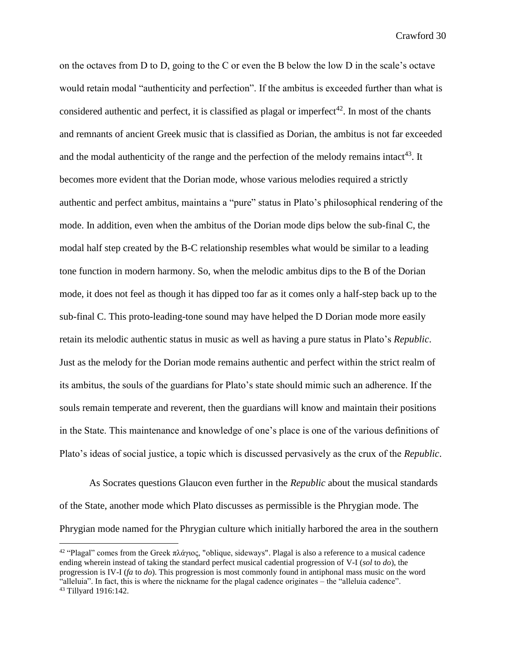on the octaves from D to D, going to the C or even the B below the low D in the scale's octave would retain modal "authenticity and perfection". If the ambitus is exceeded further than what is considered authentic and perfect, it is classified as plagal or imperfect<sup>42</sup>. In most of the chants and remnants of ancient Greek music that is classified as Dorian, the ambitus is not far exceeded and the modal authenticity of the range and the perfection of the melody remains intact<sup>43</sup>. It becomes more evident that the Dorian mode, whose various melodies required a strictly authentic and perfect ambitus, maintains a "pure" status in Plato's philosophical rendering of the mode. In addition, even when the ambitus of the Dorian mode dips below the sub-final C, the modal half step created by the B-C relationship resembles what would be similar to a leading tone function in modern harmony. So, when the melodic ambitus dips to the B of the Dorian mode, it does not feel as though it has dipped too far as it comes only a half-step back up to the sub-final C. This proto-leading-tone sound may have helped the D Dorian mode more easily retain its melodic authentic status in music as well as having a pure status in Plato's *Republic*. Just as the melody for the Dorian mode remains authentic and perfect within the strict realm of its ambitus, the souls of the guardians for Plato's state should mimic such an adherence. If the souls remain temperate and reverent, then the guardians will know and maintain their positions in the State. This maintenance and knowledge of one's place is one of the various definitions of Plato's ideas of social justice, a topic which is discussed pervasively as the crux of the *Republic*.

As Socrates questions Glaucon even further in the *Republic* about the musical standards of the State, another mode which Plato discusses as permissible is the Phrygian mode. The Phrygian mode named for the Phrygian culture which initially harbored the area in the southern

<sup>&</sup>lt;sup>42</sup> "Plagal" comes from the Greek πλάγιος, "oblique, sideways". Plagal is also a reference to a musical cadence ending wherein instead of taking the standard perfect musical cadential progression of V-I (*sol* to *do*), the progression is IV-I (*fa* to *do*). This progression is most commonly found in antiphonal mass music on the word "alleluia". In fact, this is where the nickname for the plagal cadence originates – the "alleluia cadence". <sup>43</sup> Tillyard 1916:142.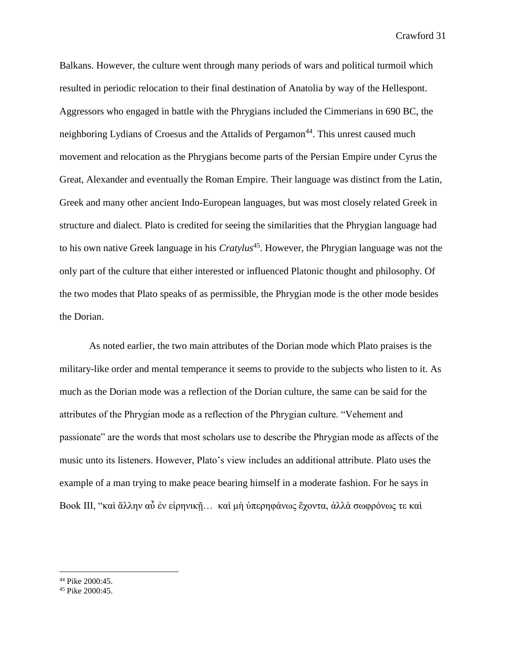Balkans. However, the culture went through many periods of wars and political turmoil which resulted in periodic relocation to their final destination of Anatolia by way of the Hellespont. Aggressors who engaged in battle with the Phrygians included the Cimmerians in 690 BC, the neighboring Lydians of Croesus and the Attalids of Pergamon<sup>44</sup>. This unrest caused much movement and relocation as the Phrygians become parts of the Persian Empire under Cyrus the Great, Alexander and eventually the Roman Empire. Their language was distinct from the Latin, Greek and many other ancient Indo-European languages, but was most closely related Greek in structure and dialect. Plato is credited for seeing the similarities that the Phrygian language had to his own native Greek language in his *Cratylus*<sup>45</sup>. However, the Phrygian language was not the only part of the culture that either interested or influenced Platonic thought and philosophy. Of the two modes that Plato speaks of as permissible, the Phrygian mode is the other mode besides the Dorian.

As noted earlier, the two main attributes of the Dorian mode which Plato praises is the military-like order and mental temperance it seems to provide to the subjects who listen to it. As much as the Dorian mode was a reflection of the Dorian culture, the same can be said for the attributes of the Phrygian mode as a reflection of the Phrygian culture. "Vehement and passionate" are the words that most scholars use to describe the Phrygian mode as affects of the music unto its listeners. However, Plato's view includes an additional attribute. Plato uses the example of a man trying to make peace bearing himself in a moderate fashion. For he says in Book III, "καὶ ἄλλην αὖ ἐν εἰρηνικῆ... καὶ μὴ ὑπερηφάνως ἔχοντα, ἀλλὰ σωφρόνως τε καὶ

<sup>44</sup> Pike 2000:45.

<sup>45</sup> Pike 2000:45.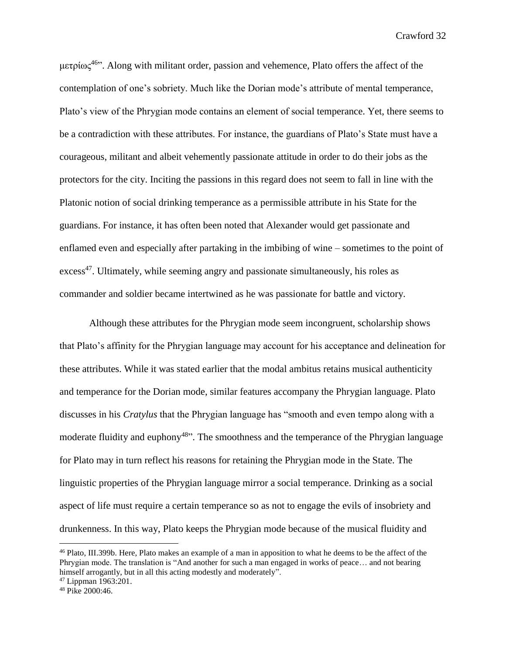μετρίως<sup>46</sup>. Along with militant order, passion and vehemence, Plato offers the affect of the contemplation of one's sobriety. Much like the Dorian mode's attribute of mental temperance, Plato's view of the Phrygian mode contains an element of social temperance. Yet, there seems to be a contradiction with these attributes. For instance, the guardians of Plato's State must have a courageous, militant and albeit vehemently passionate attitude in order to do their jobs as the protectors for the city. Inciting the passions in this regard does not seem to fall in line with the Platonic notion of social drinking temperance as a permissible attribute in his State for the guardians. For instance, it has often been noted that Alexander would get passionate and enflamed even and especially after partaking in the imbibing of wine – sometimes to the point of excess<sup>47</sup>. Ultimately, while seeming angry and passionate simultaneously, his roles as commander and soldier became intertwined as he was passionate for battle and victory.

Although these attributes for the Phrygian mode seem incongruent, scholarship shows that Plato's affinity for the Phrygian language may account for his acceptance and delineation for these attributes. While it was stated earlier that the modal ambitus retains musical authenticity and temperance for the Dorian mode, similar features accompany the Phrygian language. Plato discusses in his *Cratylus* that the Phrygian language has "smooth and even tempo along with a moderate fluidity and euphony<sup>48</sup><sup>3</sup>. The smoothness and the temperance of the Phrygian language for Plato may in turn reflect his reasons for retaining the Phrygian mode in the State. The linguistic properties of the Phrygian language mirror a social temperance. Drinking as a social aspect of life must require a certain temperance so as not to engage the evils of insobriety and drunkenness. In this way, Plato keeps the Phrygian mode because of the musical fluidity and

<sup>46</sup> Plato, III.399b. Here, Plato makes an example of a man in apposition to what he deems to be the affect of the Phrygian mode. The translation is "And another for such a man engaged in works of peace… and not bearing himself arrogantly, but in all this acting modestly and moderately".

<sup>47</sup> Lippman 1963:201.

<sup>48</sup> Pike 2000:46.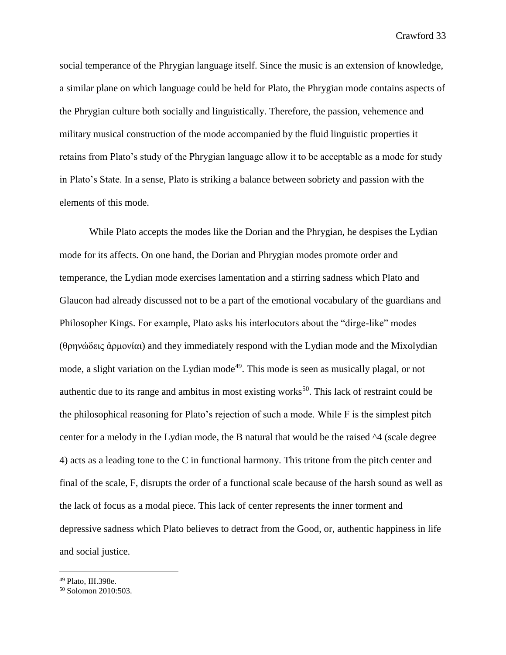social temperance of the Phrygian language itself. Since the music is an extension of knowledge, a similar plane on which language could be held for Plato, the Phrygian mode contains aspects of the Phrygian culture both socially and linguistically. Therefore, the passion, vehemence and military musical construction of the mode accompanied by the fluid linguistic properties it retains from Plato's study of the Phrygian language allow it to be acceptable as a mode for study in Plato's State. In a sense, Plato is striking a balance between sobriety and passion with the elements of this mode.

While Plato accepts the modes like the Dorian and the Phrygian, he despises the Lydian mode for its affects. On one hand, the Dorian and Phrygian modes promote order and temperance, the Lydian mode exercises lamentation and a stirring sadness which Plato and Glaucon had already discussed not to be a part of the emotional vocabulary of the guardians and Philosopher Kings. For example, Plato asks his interlocutors about the "dirge-like" modes (θρηνώδεις ἁρμονίαι) and they immediately respond with the Lydian mode and the Mixolydian mode, a slight variation on the Lydian mode<sup>49</sup>. This mode is seen as musically plagal, or not authentic due to its range and ambitus in most existing works<sup>50</sup>. This lack of restraint could be the philosophical reasoning for Plato's rejection of such a mode. While F is the simplest pitch center for a melody in the Lydian mode, the B natural that would be the raised ^4 (scale degree 4) acts as a leading tone to the C in functional harmony. This tritone from the pitch center and final of the scale, F, disrupts the order of a functional scale because of the harsh sound as well as the lack of focus as a modal piece. This lack of center represents the inner torment and depressive sadness which Plato believes to detract from the Good, or, authentic happiness in life and social justice.

<sup>49</sup> Plato, III.398e.

<sup>50</sup> Solomon 2010:503.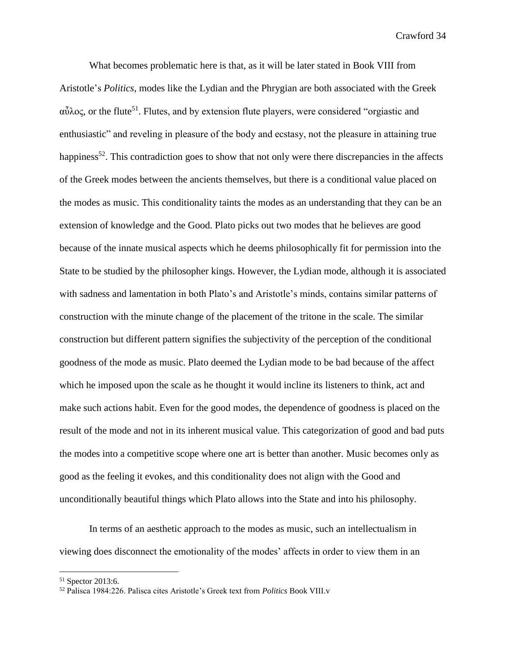What becomes problematic here is that, as it will be later stated in Book VIII from Aristotle's *Politics*, modes like the Lydian and the Phrygian are both associated with the Greek  $α<sup>3</sup>λος$ , or the flute<sup>51</sup>. Flutes, and by extension flute players, were considered "orgiastic and enthusiastic" and reveling in pleasure of the body and ecstasy, not the pleasure in attaining true happiness<sup>52</sup>. This contradiction goes to show that not only were there discrepancies in the affects of the Greek modes between the ancients themselves, but there is a conditional value placed on the modes as music. This conditionality taints the modes as an understanding that they can be an extension of knowledge and the Good. Plato picks out two modes that he believes are good because of the innate musical aspects which he deems philosophically fit for permission into the State to be studied by the philosopher kings. However, the Lydian mode, although it is associated with sadness and lamentation in both Plato's and Aristotle's minds, contains similar patterns of construction with the minute change of the placement of the tritone in the scale. The similar construction but different pattern signifies the subjectivity of the perception of the conditional goodness of the mode as music. Plato deemed the Lydian mode to be bad because of the affect which he imposed upon the scale as he thought it would incline its listeners to think, act and make such actions habit. Even for the good modes, the dependence of goodness is placed on the result of the mode and not in its inherent musical value. This categorization of good and bad puts the modes into a competitive scope where one art is better than another. Music becomes only as good as the feeling it evokes, and this conditionality does not align with the Good and unconditionally beautiful things which Plato allows into the State and into his philosophy.

In terms of an aesthetic approach to the modes as music, such an intellectualism in viewing does disconnect the emotionality of the modes' affects in order to view them in an

<sup>51</sup> Spector 2013:6.

<sup>52</sup> Palisca 1984:226. Palisca cites Aristotle's Greek text from *Politics* Book VIII.v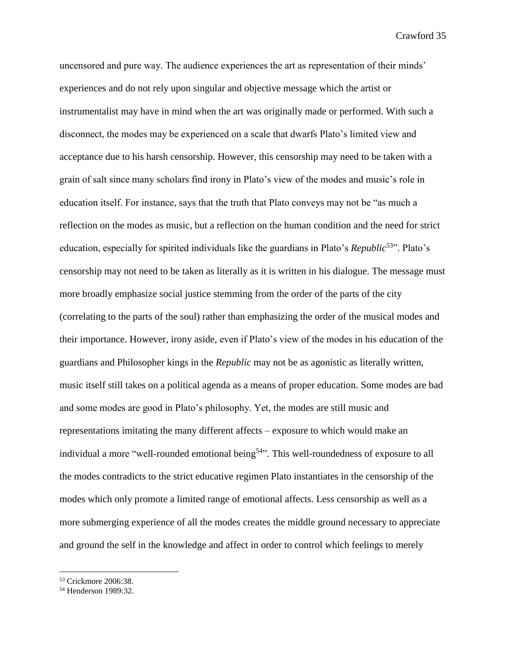uncensored and pure way. The audience experiences the art as representation of their minds' experiences and do not rely upon singular and objective message which the artist or instrumentalist may have in mind when the art was originally made or performed. With such a disconnect, the modes may be experienced on a scale that dwarfs Plato's limited view and acceptance due to his harsh censorship. However, this censorship may need to be taken with a grain of salt since many scholars find irony in Plato's view of the modes and music's role in education itself. For instance, says that the truth that Plato conveys may not be "as much a reflection on the modes as music, but a reflection on the human condition and the need for strict education, especially for spirited individuals like the guardians in Plato's *Republic*<sup>53</sup>". Plato's censorship may not need to be taken as literally as it is written in his dialogue. The message must more broadly emphasize social justice stemming from the order of the parts of the city (correlating to the parts of the soul) rather than emphasizing the order of the musical modes and their importance. However, irony aside, even if Plato's view of the modes in his education of the guardians and Philosopher kings in the *Republic* may not be as agonistic as literally written, music itself still takes on a political agenda as a means of proper education. Some modes are bad and some modes are good in Plato's philosophy. Yet, the modes are still music and representations imitating the many different affects – exposure to which would make an individual a more "well-rounded emotional being<sup>54</sup>". This well-roundedness of exposure to all the modes contradicts to the strict educative regimen Plato instantiates in the censorship of the modes which only promote a limited range of emotional affects. Less censorship as well as a more submerging experience of all the modes creates the middle ground necessary to appreciate and ground the self in the knowledge and affect in order to control which feelings to merely

<sup>53</sup> Crickmore 2006:38.

<sup>54</sup> Henderson 1989:32.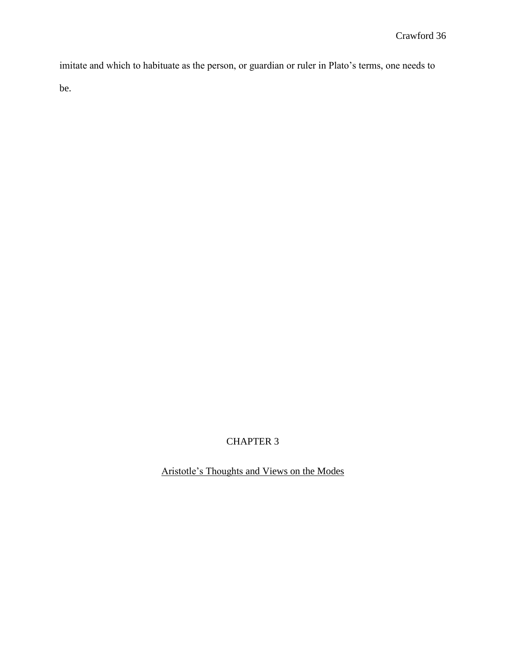imitate and which to habituate as the person, or guardian or ruler in Plato's terms, one needs to be.

### CHAPTER 3

Aristotle's Thoughts and Views on the Modes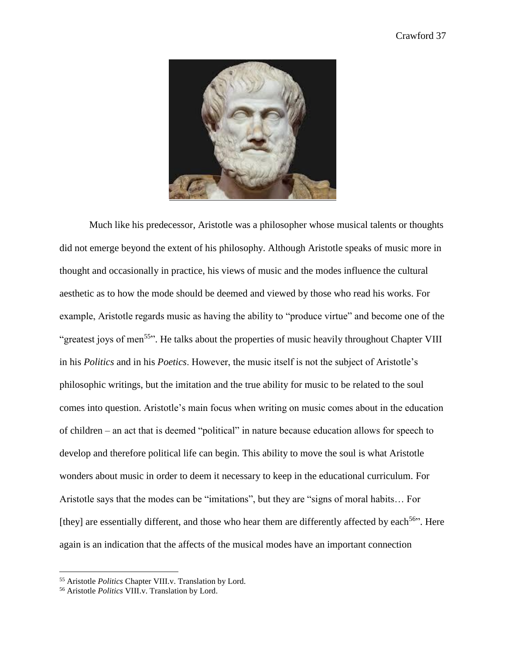

Much like his predecessor, Aristotle was a philosopher whose musical talents or thoughts did not emerge beyond the extent of his philosophy. Although Aristotle speaks of music more in thought and occasionally in practice, his views of music and the modes influence the cultural aesthetic as to how the mode should be deemed and viewed by those who read his works. For example, Aristotle regards music as having the ability to "produce virtue" and become one of the "greatest joys of men<sup>55</sup>". He talks about the properties of music heavily throughout Chapter VIII in his *Politics* and in his *Poetics*. However, the music itself is not the subject of Aristotle's philosophic writings, but the imitation and the true ability for music to be related to the soul comes into question. Aristotle's main focus when writing on music comes about in the education of children – an act that is deemed "political" in nature because education allows for speech to develop and therefore political life can begin. This ability to move the soul is what Aristotle wonders about music in order to deem it necessary to keep in the educational curriculum. For Aristotle says that the modes can be "imitations", but they are "signs of moral habits… For [they] are essentially different, and those who hear them are differently affected by each<sup>56</sup>". Here again is an indication that the affects of the musical modes have an important connection

<sup>55</sup> Aristotle *Politics* Chapter VIII.v. Translation by Lord.

<sup>56</sup> Aristotle *Politics* VIII.v. Translation by Lord.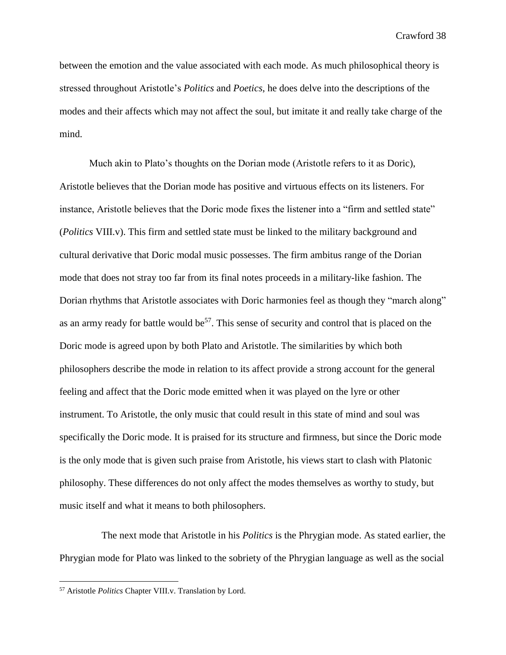between the emotion and the value associated with each mode. As much philosophical theory is stressed throughout Aristotle's *Politics* and *Poetics*, he does delve into the descriptions of the modes and their affects which may not affect the soul, but imitate it and really take charge of the mind.

Much akin to Plato's thoughts on the Dorian mode (Aristotle refers to it as Doric), Aristotle believes that the Dorian mode has positive and virtuous effects on its listeners. For instance, Aristotle believes that the Doric mode fixes the listener into a "firm and settled state" (*Politics* VIII.v). This firm and settled state must be linked to the military background and cultural derivative that Doric modal music possesses. The firm ambitus range of the Dorian mode that does not stray too far from its final notes proceeds in a military-like fashion. The Dorian rhythms that Aristotle associates with Doric harmonies feel as though they "march along" as an army ready for battle would be<sup>57</sup>. This sense of security and control that is placed on the Doric mode is agreed upon by both Plato and Aristotle. The similarities by which both philosophers describe the mode in relation to its affect provide a strong account for the general feeling and affect that the Doric mode emitted when it was played on the lyre or other instrument. To Aristotle, the only music that could result in this state of mind and soul was specifically the Doric mode. It is praised for its structure and firmness, but since the Doric mode is the only mode that is given such praise from Aristotle, his views start to clash with Platonic philosophy. These differences do not only affect the modes themselves as worthy to study, but music itself and what it means to both philosophers.

 The next mode that Aristotle in his *Politics* is the Phrygian mode. As stated earlier, the Phrygian mode for Plato was linked to the sobriety of the Phrygian language as well as the social

<sup>57</sup> Aristotle *Politics* Chapter VIII.v. Translation by Lord.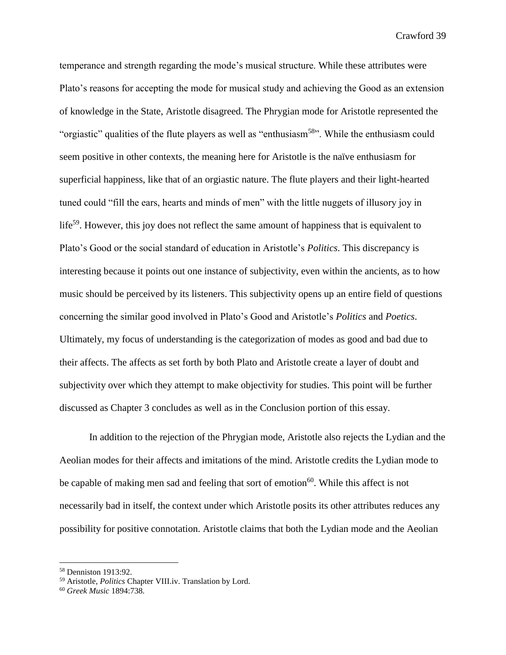temperance and strength regarding the mode's musical structure. While these attributes were Plato's reasons for accepting the mode for musical study and achieving the Good as an extension of knowledge in the State, Aristotle disagreed. The Phrygian mode for Aristotle represented the "orgiastic" qualities of the flute players as well as "enthusiasm<sup>58</sup>". While the enthusiasm could seem positive in other contexts, the meaning here for Aristotle is the naïve enthusiasm for superficial happiness, like that of an orgiastic nature. The flute players and their light-hearted tuned could "fill the ears, hearts and minds of men" with the little nuggets of illusory joy in life<sup>59</sup>. However, this joy does not reflect the same amount of happiness that is equivalent to Plato's Good or the social standard of education in Aristotle's *Politics*. This discrepancy is interesting because it points out one instance of subjectivity, even within the ancients, as to how music should be perceived by its listeners. This subjectivity opens up an entire field of questions concerning the similar good involved in Plato's Good and Aristotle's *Politics* and *Poetics*. Ultimately, my focus of understanding is the categorization of modes as good and bad due to their affects. The affects as set forth by both Plato and Aristotle create a layer of doubt and subjectivity over which they attempt to make objectivity for studies. This point will be further discussed as Chapter 3 concludes as well as in the Conclusion portion of this essay.

In addition to the rejection of the Phrygian mode, Aristotle also rejects the Lydian and the Aeolian modes for their affects and imitations of the mind. Aristotle credits the Lydian mode to be capable of making men sad and feeling that sort of emotion<sup>60</sup>. While this affect is not necessarily bad in itself, the context under which Aristotle posits its other attributes reduces any possibility for positive connotation. Aristotle claims that both the Lydian mode and the Aeolian

<sup>58</sup> Denniston 1913:92.

<sup>59</sup> Aristotle, *Politics* Chapter VIII.iv. Translation by Lord.

<sup>60</sup> *Greek Music* 1894:738.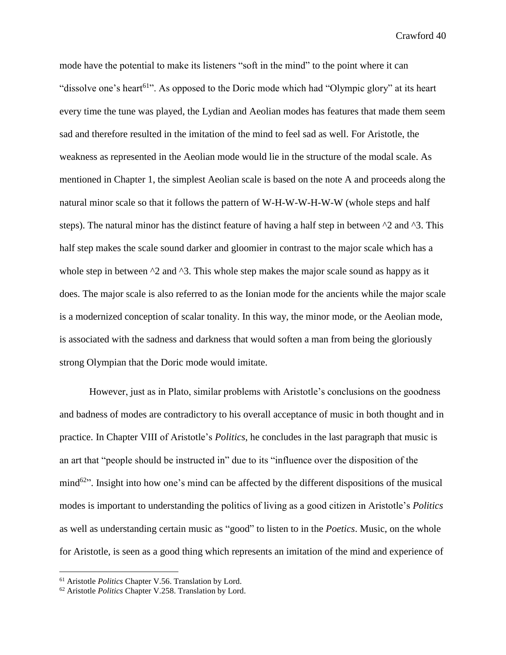mode have the potential to make its listeners "soft in the mind" to the point where it can "dissolve one's heart<sup>61</sup>". As opposed to the Doric mode which had "Olympic glory" at its heart every time the tune was played, the Lydian and Aeolian modes has features that made them seem sad and therefore resulted in the imitation of the mind to feel sad as well. For Aristotle, the weakness as represented in the Aeolian mode would lie in the structure of the modal scale. As mentioned in Chapter 1, the simplest Aeolian scale is based on the note A and proceeds along the natural minor scale so that it follows the pattern of W-H-W-W-H-W-W (whole steps and half steps). The natural minor has the distinct feature of having a half step in between  $\gamma$ 2 and  $\gamma$ 3. This half step makes the scale sound darker and gloomier in contrast to the major scale which has a whole step in between  $\gamma$  and  $\gamma$ . This whole step makes the major scale sound as happy as it does. The major scale is also referred to as the Ionian mode for the ancients while the major scale is a modernized conception of scalar tonality. In this way, the minor mode, or the Aeolian mode, is associated with the sadness and darkness that would soften a man from being the gloriously strong Olympian that the Doric mode would imitate.

However, just as in Plato, similar problems with Aristotle's conclusions on the goodness and badness of modes are contradictory to his overall acceptance of music in both thought and in practice. In Chapter VIII of Aristotle's *Politics*, he concludes in the last paragraph that music is an art that "people should be instructed in" due to its "influence over the disposition of the mind<sup>62</sup><sup>2</sup>. Insight into how one's mind can be affected by the different dispositions of the musical modes is important to understanding the politics of living as a good citizen in Aristotle's *Politics* as well as understanding certain music as "good" to listen to in the *Poetics*. Music, on the whole for Aristotle, is seen as a good thing which represents an imitation of the mind and experience of

<sup>61</sup> Aristotle *Politics* Chapter V.56. Translation by Lord.

<sup>62</sup> Aristotle *Politics* Chapter V.258. Translation by Lord.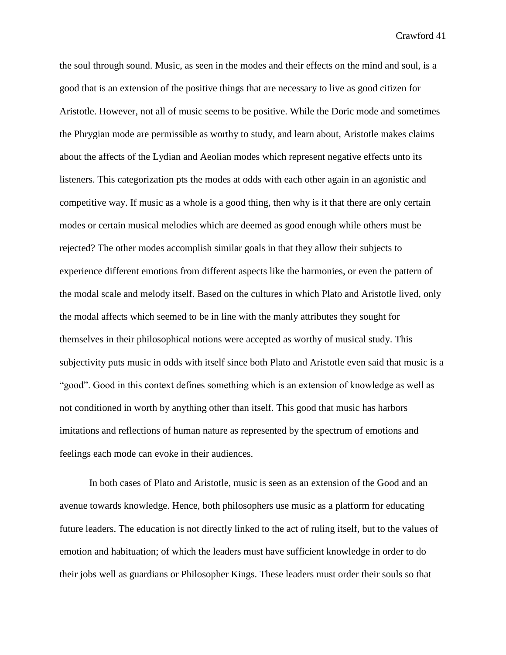the soul through sound. Music, as seen in the modes and their effects on the mind and soul, is a good that is an extension of the positive things that are necessary to live as good citizen for Aristotle. However, not all of music seems to be positive. While the Doric mode and sometimes the Phrygian mode are permissible as worthy to study, and learn about, Aristotle makes claims about the affects of the Lydian and Aeolian modes which represent negative effects unto its listeners. This categorization pts the modes at odds with each other again in an agonistic and competitive way. If music as a whole is a good thing, then why is it that there are only certain modes or certain musical melodies which are deemed as good enough while others must be rejected? The other modes accomplish similar goals in that they allow their subjects to experience different emotions from different aspects like the harmonies, or even the pattern of the modal scale and melody itself. Based on the cultures in which Plato and Aristotle lived, only the modal affects which seemed to be in line with the manly attributes they sought for themselves in their philosophical notions were accepted as worthy of musical study. This subjectivity puts music in odds with itself since both Plato and Aristotle even said that music is a "good". Good in this context defines something which is an extension of knowledge as well as not conditioned in worth by anything other than itself. This good that music has harbors imitations and reflections of human nature as represented by the spectrum of emotions and feelings each mode can evoke in their audiences.

In both cases of Plato and Aristotle, music is seen as an extension of the Good and an avenue towards knowledge. Hence, both philosophers use music as a platform for educating future leaders. The education is not directly linked to the act of ruling itself, but to the values of emotion and habituation; of which the leaders must have sufficient knowledge in order to do their jobs well as guardians or Philosopher Kings. These leaders must order their souls so that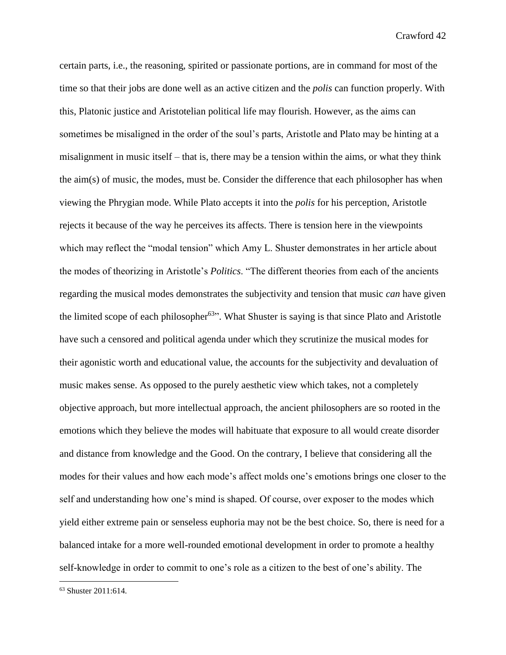certain parts, i.e., the reasoning, spirited or passionate portions, are in command for most of the time so that their jobs are done well as an active citizen and the *polis* can function properly. With this, Platonic justice and Aristotelian political life may flourish. However, as the aims can sometimes be misaligned in the order of the soul's parts, Aristotle and Plato may be hinting at a misalignment in music itself – that is, there may be a tension within the aims, or what they think the aim(s) of music, the modes, must be. Consider the difference that each philosopher has when viewing the Phrygian mode. While Plato accepts it into the *polis* for his perception, Aristotle rejects it because of the way he perceives its affects. There is tension here in the viewpoints which may reflect the "modal tension" which Amy L. Shuster demonstrates in her article about the modes of theorizing in Aristotle's *Politics*. "The different theories from each of the ancients regarding the musical modes demonstrates the subjectivity and tension that music *can* have given the limited scope of each philosopher<sup>63</sup><sup>3</sup>. What Shuster is saying is that since Plato and Aristotle have such a censored and political agenda under which they scrutinize the musical modes for their agonistic worth and educational value, the accounts for the subjectivity and devaluation of music makes sense. As opposed to the purely aesthetic view which takes, not a completely objective approach, but more intellectual approach, the ancient philosophers are so rooted in the emotions which they believe the modes will habituate that exposure to all would create disorder and distance from knowledge and the Good. On the contrary, I believe that considering all the modes for their values and how each mode's affect molds one's emotions brings one closer to the self and understanding how one's mind is shaped. Of course, over exposer to the modes which yield either extreme pain or senseless euphoria may not be the best choice. So, there is need for a balanced intake for a more well-rounded emotional development in order to promote a healthy self-knowledge in order to commit to one's role as a citizen to the best of one's ability. The

<sup>63</sup> Shuster 2011:614.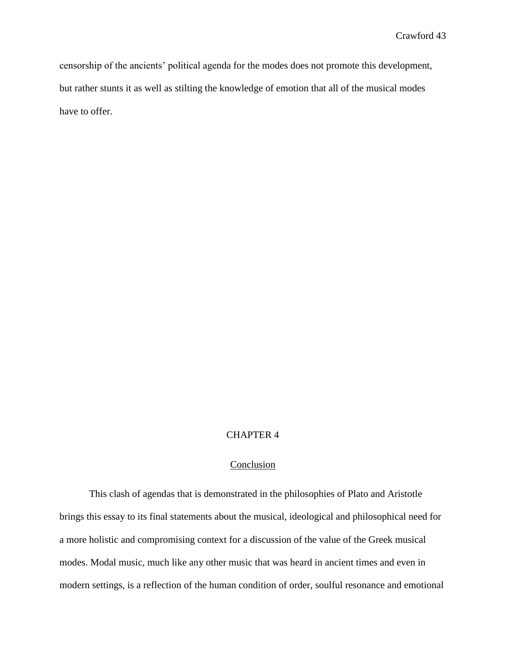censorship of the ancients' political agenda for the modes does not promote this development, but rather stunts it as well as stilting the knowledge of emotion that all of the musical modes have to offer.

#### CHAPTER 4

#### Conclusion

This clash of agendas that is demonstrated in the philosophies of Plato and Aristotle brings this essay to its final statements about the musical, ideological and philosophical need for a more holistic and compromising context for a discussion of the value of the Greek musical modes. Modal music, much like any other music that was heard in ancient times and even in modern settings, is a reflection of the human condition of order, soulful resonance and emotional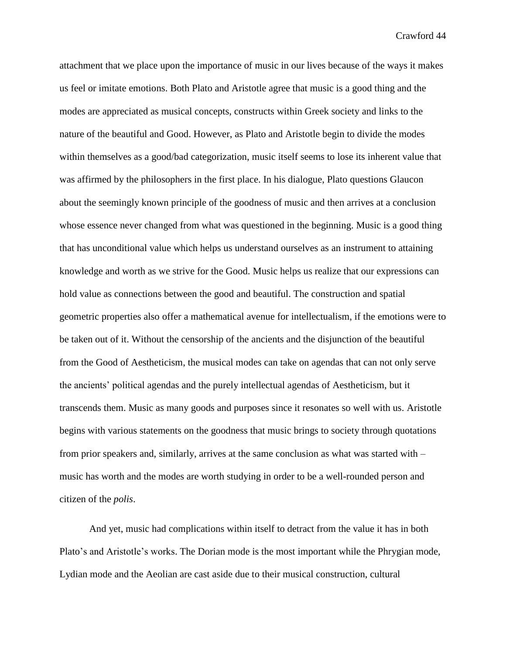attachment that we place upon the importance of music in our lives because of the ways it makes us feel or imitate emotions. Both Plato and Aristotle agree that music is a good thing and the modes are appreciated as musical concepts, constructs within Greek society and links to the nature of the beautiful and Good. However, as Plato and Aristotle begin to divide the modes within themselves as a good/bad categorization, music itself seems to lose its inherent value that was affirmed by the philosophers in the first place. In his dialogue, Plato questions Glaucon about the seemingly known principle of the goodness of music and then arrives at a conclusion whose essence never changed from what was questioned in the beginning. Music is a good thing that has unconditional value which helps us understand ourselves as an instrument to attaining knowledge and worth as we strive for the Good. Music helps us realize that our expressions can hold value as connections between the good and beautiful. The construction and spatial geometric properties also offer a mathematical avenue for intellectualism, if the emotions were to be taken out of it. Without the censorship of the ancients and the disjunction of the beautiful from the Good of Aestheticism, the musical modes can take on agendas that can not only serve the ancients' political agendas and the purely intellectual agendas of Aestheticism, but it transcends them. Music as many goods and purposes since it resonates so well with us. Aristotle begins with various statements on the goodness that music brings to society through quotations from prior speakers and, similarly, arrives at the same conclusion as what was started with – music has worth and the modes are worth studying in order to be a well-rounded person and citizen of the *polis*.

And yet, music had complications within itself to detract from the value it has in both Plato's and Aristotle's works. The Dorian mode is the most important while the Phrygian mode, Lydian mode and the Aeolian are cast aside due to their musical construction, cultural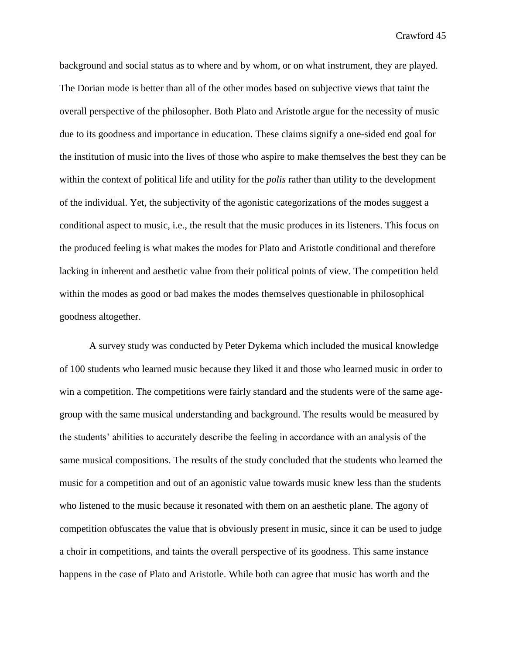background and social status as to where and by whom, or on what instrument, they are played. The Dorian mode is better than all of the other modes based on subjective views that taint the overall perspective of the philosopher. Both Plato and Aristotle argue for the necessity of music due to its goodness and importance in education. These claims signify a one-sided end goal for the institution of music into the lives of those who aspire to make themselves the best they can be within the context of political life and utility for the *polis* rather than utility to the development of the individual. Yet, the subjectivity of the agonistic categorizations of the modes suggest a conditional aspect to music, i.e., the result that the music produces in its listeners. This focus on the produced feeling is what makes the modes for Plato and Aristotle conditional and therefore lacking in inherent and aesthetic value from their political points of view. The competition held within the modes as good or bad makes the modes themselves questionable in philosophical goodness altogether.

A survey study was conducted by Peter Dykema which included the musical knowledge of 100 students who learned music because they liked it and those who learned music in order to win a competition. The competitions were fairly standard and the students were of the same agegroup with the same musical understanding and background. The results would be measured by the students' abilities to accurately describe the feeling in accordance with an analysis of the same musical compositions. The results of the study concluded that the students who learned the music for a competition and out of an agonistic value towards music knew less than the students who listened to the music because it resonated with them on an aesthetic plane. The agony of competition obfuscates the value that is obviously present in music, since it can be used to judge a choir in competitions, and taints the overall perspective of its goodness. This same instance happens in the case of Plato and Aristotle. While both can agree that music has worth and the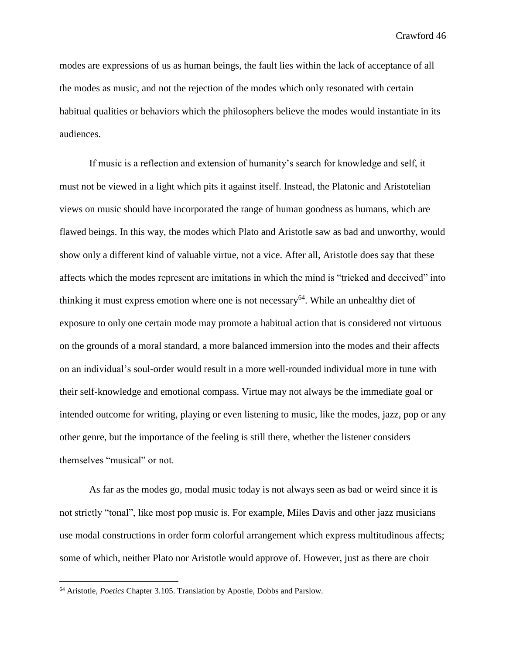modes are expressions of us as human beings, the fault lies within the lack of acceptance of all the modes as music, and not the rejection of the modes which only resonated with certain habitual qualities or behaviors which the philosophers believe the modes would instantiate in its audiences.

If music is a reflection and extension of humanity's search for knowledge and self, it must not be viewed in a light which pits it against itself. Instead, the Platonic and Aristotelian views on music should have incorporated the range of human goodness as humans, which are flawed beings. In this way, the modes which Plato and Aristotle saw as bad and unworthy, would show only a different kind of valuable virtue, not a vice. After all, Aristotle does say that these affects which the modes represent are imitations in which the mind is "tricked and deceived" into thinking it must express emotion where one is not necessary<sup>64</sup>. While an unhealthy diet of exposure to only one certain mode may promote a habitual action that is considered not virtuous on the grounds of a moral standard, a more balanced immersion into the modes and their affects on an individual's soul-order would result in a more well-rounded individual more in tune with their self-knowledge and emotional compass. Virtue may not always be the immediate goal or intended outcome for writing, playing or even listening to music, like the modes, jazz, pop or any other genre, but the importance of the feeling is still there, whether the listener considers themselves "musical" or not.

As far as the modes go, modal music today is not always seen as bad or weird since it is not strictly "tonal", like most pop music is. For example, Miles Davis and other jazz musicians use modal constructions in order form colorful arrangement which express multitudinous affects; some of which, neither Plato nor Aristotle would approve of. However, just as there are choir

<sup>64</sup> Aristotle, *Poetics* Chapter 3.105. Translation by Apostle, Dobbs and Parslow.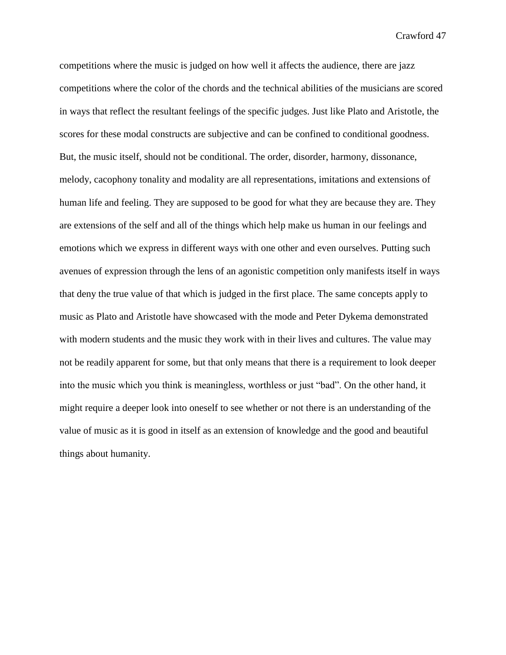competitions where the music is judged on how well it affects the audience, there are jazz competitions where the color of the chords and the technical abilities of the musicians are scored in ways that reflect the resultant feelings of the specific judges. Just like Plato and Aristotle, the scores for these modal constructs are subjective and can be confined to conditional goodness. But, the music itself, should not be conditional. The order, disorder, harmony, dissonance, melody, cacophony tonality and modality are all representations, imitations and extensions of human life and feeling. They are supposed to be good for what they are because they are. They are extensions of the self and all of the things which help make us human in our feelings and emotions which we express in different ways with one other and even ourselves. Putting such avenues of expression through the lens of an agonistic competition only manifests itself in ways that deny the true value of that which is judged in the first place. The same concepts apply to music as Plato and Aristotle have showcased with the mode and Peter Dykema demonstrated with modern students and the music they work with in their lives and cultures. The value may not be readily apparent for some, but that only means that there is a requirement to look deeper into the music which you think is meaningless, worthless or just "bad". On the other hand, it might require a deeper look into oneself to see whether or not there is an understanding of the value of music as it is good in itself as an extension of knowledge and the good and beautiful things about humanity.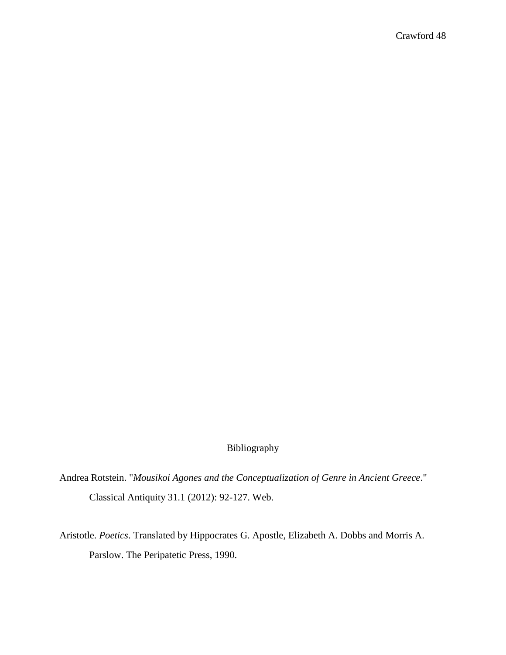#### Bibliography

Andrea Rotstein. "*Mousikoi Agones and the Conceptualization of Genre in Ancient Greece*." Classical Antiquity 31.1 (2012): 92-127. Web.

Aristotle. *Poetics*. Translated by Hippocrates G. Apostle, Elizabeth A. Dobbs and Morris A. Parslow. The Peripatetic Press, 1990.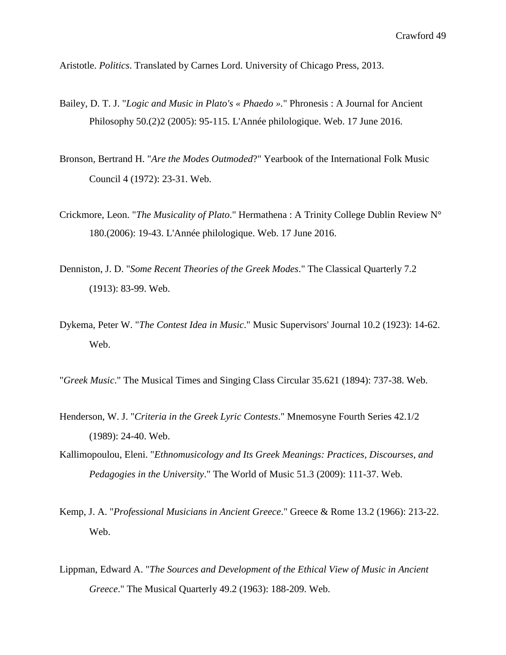Aristotle. *Politics*. Translated by Carnes Lord. University of Chicago Press, 2013.

- Bailey, D. T. J. "*Logic and Music in Plato's « Phaedo ».*" Phronesis : A Journal for Ancient Philosophy 50.(2)2 (2005): 95-115. L'Année philologique. Web. 17 June 2016.
- Bronson, Bertrand H. "*Are the Modes Outmoded*?" Yearbook of the International Folk Music Council 4 (1972): 23-31. Web.
- Crickmore, Leon. "*The Musicality of Plato*." Hermathena : A Trinity College Dublin Review N° 180.(2006): 19-43. L'Année philologique. Web. 17 June 2016.
- Denniston, J. D. "*Some Recent Theories of the Greek Modes*." The Classical Quarterly 7.2 (1913): 83-99. Web.
- Dykema, Peter W. "*The Contest Idea in Music*." Music Supervisors' Journal 10.2 (1923): 14-62. Web.
- "*Greek Music*." The Musical Times and Singing Class Circular 35.621 (1894): 737-38. Web.
- Henderson, W. J. "*Criteria in the Greek Lyric Contests*." Mnemosyne Fourth Series 42.1/2 (1989): 24-40. Web.
- Kallimopoulou, Eleni. "*Ethnomusicology and Its Greek Meanings: Practices, Discourses, and Pedagogies in the University*." The World of Music 51.3 (2009): 111-37. Web.
- Kemp, J. A. "*Professional Musicians in Ancient Greece*." Greece & Rome 13.2 (1966): 213-22. Web.
- Lippman, Edward A. "*The Sources and Development of the Ethical View of Music in Ancient Greece*." The Musical Quarterly 49.2 (1963): 188-209. Web.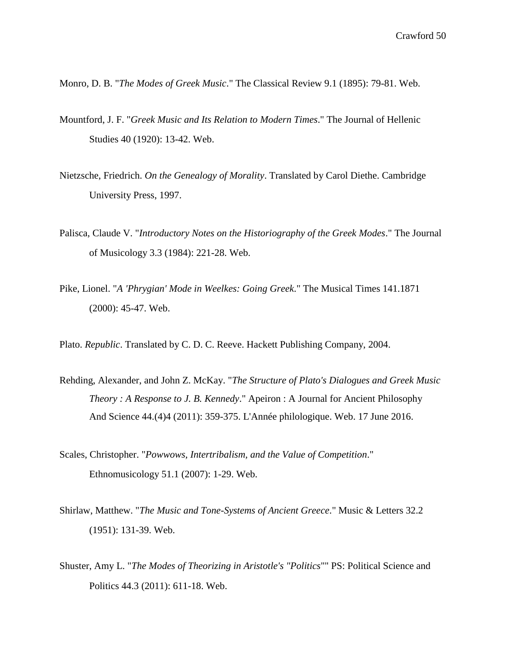- Monro, D. B. "*The Modes of Greek Music*." The Classical Review 9.1 (1895): 79-81. Web.
- Mountford, J. F. "*Greek Music and Its Relation to Modern Times*." The Journal of Hellenic Studies 40 (1920): 13-42. Web.
- Nietzsche, Friedrich. *On the Genealogy of Morality*. Translated by Carol Diethe. Cambridge University Press, 1997.
- Palisca, Claude V. "*Introductory Notes on the Historiography of the Greek Modes*." The Journal of Musicology 3.3 (1984): 221-28. Web.
- Pike, Lionel. "*A 'Phrygian' Mode in Weelkes: Going Greek*." The Musical Times 141.1871 (2000): 45-47. Web.
- Plato. *Republic*. Translated by C. D. C. Reeve. Hackett Publishing Company, 2004.
- Rehding, Alexander, and John Z. McKay. "*The Structure of Plato's Dialogues and Greek Music Theory : A Response to J. B. Kennedy*." Apeiron : A Journal for Ancient Philosophy And Science 44.(4)4 (2011): 359-375. L'Année philologique. Web. 17 June 2016.
- Scales, Christopher. "*Powwows, Intertribalism, and the Value of Competition*." Ethnomusicology 51.1 (2007): 1-29. Web.
- Shirlaw, Matthew. "*The Music and Tone-Systems of Ancient Greece*." Music & Letters 32.2 (1951): 131-39. Web.
- Shuster, Amy L. "*The Modes of Theorizing in Aristotle's "Politics*"" PS: Political Science and Politics 44.3 (2011): 611-18. Web.